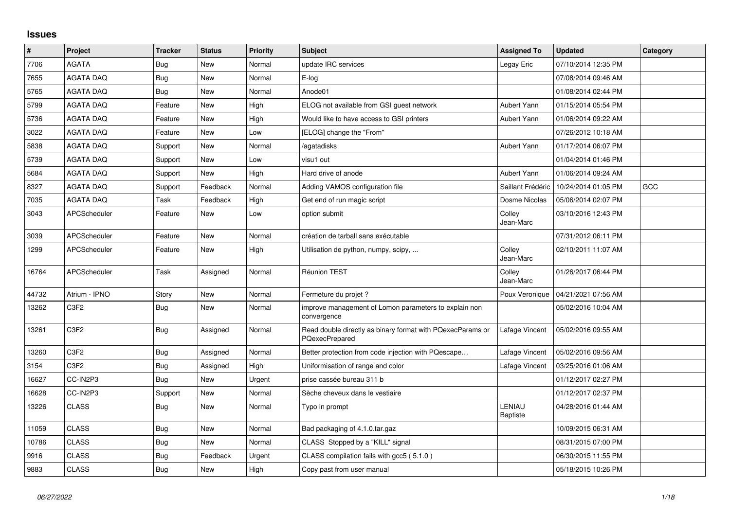## **Issues**

| $\vert$ # | Project             | <b>Tracker</b> | <b>Status</b> | <b>Priority</b> | <b>Subject</b>                                                                      | <b>Assigned To</b>        | <b>Updated</b>      | Category |
|-----------|---------------------|----------------|---------------|-----------------|-------------------------------------------------------------------------------------|---------------------------|---------------------|----------|
| 7706      | <b>AGATA</b>        | Bug            | New           | Normal          | update IRC services                                                                 | Legay Eric                | 07/10/2014 12:35 PM |          |
| 7655      | <b>AGATA DAQ</b>    | Bug            | <b>New</b>    | Normal          | E-log                                                                               |                           | 07/08/2014 09:46 AM |          |
| 5765      | <b>AGATA DAQ</b>    | Bug            | <b>New</b>    | Normal          | Anode01                                                                             |                           | 01/08/2014 02:44 PM |          |
| 5799      | <b>AGATA DAQ</b>    | Feature        | New           | High            | ELOG not available from GSI guest network                                           | Aubert Yann               | 01/15/2014 05:54 PM |          |
| 5736      | <b>AGATA DAQ</b>    | Feature        | New           | High            | Would like to have access to GSI printers                                           | Aubert Yann               | 01/06/2014 09:22 AM |          |
| 3022      | <b>AGATA DAQ</b>    | Feature        | <b>New</b>    | Low             | [ELOG] change the "From"                                                            |                           | 07/26/2012 10:18 AM |          |
| 5838      | <b>AGATA DAQ</b>    | Support        | <b>New</b>    | Normal          | /agatadisks                                                                         | Aubert Yann               | 01/17/2014 06:07 PM |          |
| 5739      | <b>AGATA DAQ</b>    | Support        | <b>New</b>    | Low             | visu1 out                                                                           |                           | 01/04/2014 01:46 PM |          |
| 5684      | <b>AGATA DAQ</b>    | Support        | New           | High            | Hard drive of anode                                                                 | Aubert Yann               | 01/06/2014 09:24 AM |          |
| 8327      | <b>AGATA DAQ</b>    | Support        | Feedback      | Normal          | Adding VAMOS configuration file                                                     | Saillant Frédéric         | 10/24/2014 01:05 PM | GCC      |
| 7035      | <b>AGATA DAQ</b>    | Task           | Feedback      | High            | Get end of run magic script                                                         | Dosme Nicolas             | 05/06/2014 02:07 PM |          |
| 3043      | APCScheduler        | Feature        | <b>New</b>    | Low             | option submit                                                                       | Colley<br>Jean-Marc       | 03/10/2016 12:43 PM |          |
| 3039      | APCScheduler        | Feature        | <b>New</b>    | Normal          | création de tarball sans exécutable                                                 |                           | 07/31/2012 06:11 PM |          |
| 1299      | <b>APCScheduler</b> | Feature        | <b>New</b>    | High            | Utilisation de python, numpy, scipy,                                                | Colley<br>Jean-Marc       | 02/10/2011 11:07 AM |          |
| 16764     | APCScheduler        | Task           | Assigned      | Normal          | Réunion TEST                                                                        | Colley<br>Jean-Marc       | 01/26/2017 06:44 PM |          |
| 44732     | Atrium - IPNO       | Story          | <b>New</b>    | Normal          | Fermeture du projet ?                                                               | Poux Veronique            | 04/21/2021 07:56 AM |          |
| 13262     | C <sub>3F2</sub>    | <b>Bug</b>     | <b>New</b>    | Normal          | improve management of Lomon parameters to explain non<br>convergence                |                           | 05/02/2016 10:04 AM |          |
| 13261     | C <sub>3F2</sub>    | Bug            | Assigned      | Normal          | Read double directly as binary format with PQexecParams or<br><b>PQexecPrepared</b> | Lafage Vincent            | 05/02/2016 09:55 AM |          |
| 13260     | C <sub>3F2</sub>    | <b>Bug</b>     | Assigned      | Normal          | Better protection from code injection with PQescape                                 | Lafage Vincent            | 05/02/2016 09:56 AM |          |
| 3154      | C <sub>3F2</sub>    | Bug            | Assigned      | High            | Uniformisation of range and color                                                   | Lafage Vincent            | 03/25/2016 01:06 AM |          |
| 16627     | CC-IN2P3            | <b>Bug</b>     | <b>New</b>    | Urgent          | prise cassée bureau 311 b                                                           |                           | 01/12/2017 02:27 PM |          |
| 16628     | CC-IN2P3            | Support        | New           | Normal          | Sèche cheveux dans le vestiaire                                                     |                           | 01/12/2017 02:37 PM |          |
| 13226     | <b>CLASS</b>        | <b>Bug</b>     | New           | Normal          | Typo in prompt                                                                      | LENIAU<br><b>Baptiste</b> | 04/28/2016 01:44 AM |          |
| 11059     | <b>CLASS</b>        | <b>Bug</b>     | <b>New</b>    | Normal          | Bad packaging of 4.1.0.tar.gaz                                                      |                           | 10/09/2015 06:31 AM |          |
| 10786     | <b>CLASS</b>        | <b>Bug</b>     | New           | Normal          | CLASS Stopped by a "KILL" signal                                                    |                           | 08/31/2015 07:00 PM |          |
| 9916      | <b>CLASS</b>        | Bug            | Feedback      | Urgent          | CLASS compilation fails with gcc5 (5.1.0)                                           |                           | 06/30/2015 11:55 PM |          |
| 9883      | <b>CLASS</b>        | Bug            | New           | High            | Copy past from user manual                                                          |                           | 05/18/2015 10:26 PM |          |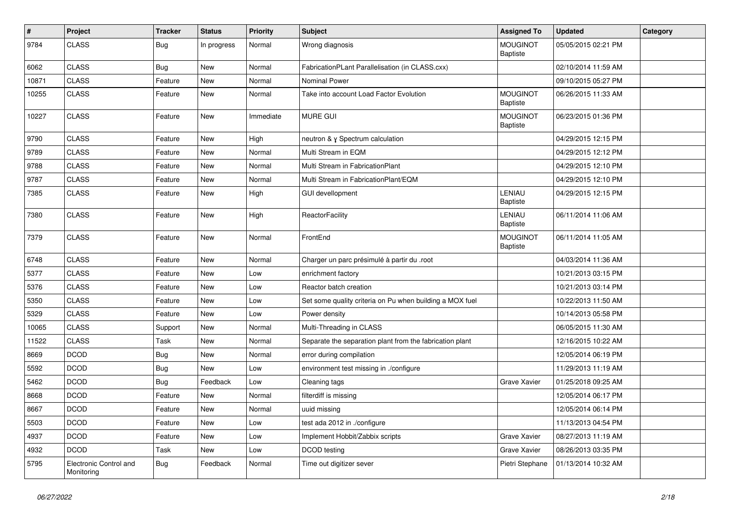| $\vert$ # | Project                              | <b>Tracker</b> | <b>Status</b> | <b>Priority</b> | <b>Subject</b>                                           | <b>Assigned To</b>                 | <b>Updated</b>      | Category |
|-----------|--------------------------------------|----------------|---------------|-----------------|----------------------------------------------------------|------------------------------------|---------------------|----------|
| 9784      | <b>CLASS</b>                         | <b>Bug</b>     | In progress   | Normal          | Wrong diagnosis                                          | <b>MOUGINOT</b><br><b>Baptiste</b> | 05/05/2015 02:21 PM |          |
| 6062      | <b>CLASS</b>                         | Bug            | <b>New</b>    | Normal          | FabricationPLant Parallelisation (in CLASS.cxx)          |                                    | 02/10/2014 11:59 AM |          |
| 10871     | <b>CLASS</b>                         | Feature        | New           | Normal          | <b>Nominal Power</b>                                     |                                    | 09/10/2015 05:27 PM |          |
| 10255     | <b>CLASS</b>                         | Feature        | <b>New</b>    | Normal          | Take into account Load Factor Evolution                  | <b>MOUGINOT</b><br><b>Baptiste</b> | 06/26/2015 11:33 AM |          |
| 10227     | <b>CLASS</b>                         | Feature        | <b>New</b>    | Immediate       | <b>MURE GUI</b>                                          | <b>MOUGINOT</b><br>Baptiste        | 06/23/2015 01:36 PM |          |
| 9790      | <b>CLASS</b>                         | Feature        | <b>New</b>    | High            | neutron & y Spectrum calculation                         |                                    | 04/29/2015 12:15 PM |          |
| 9789      | <b>CLASS</b>                         | Feature        | <b>New</b>    | Normal          | Multi Stream in EQM                                      |                                    | 04/29/2015 12:12 PM |          |
| 9788      | <b>CLASS</b>                         | Feature        | New           | Normal          | Multi Stream in FabricationPlant                         |                                    | 04/29/2015 12:10 PM |          |
| 9787      | <b>CLASS</b>                         | Feature        | New           | Normal          | Multi Stream in FabricationPlant/EQM                     |                                    | 04/29/2015 12:10 PM |          |
| 7385      | <b>CLASS</b>                         | Feature        | New           | High            | <b>GUI devellopment</b>                                  | LENIAU<br><b>Baptiste</b>          | 04/29/2015 12:15 PM |          |
| 7380      | <b>CLASS</b>                         | Feature        | New           | High            | <b>ReactorFacility</b>                                   | LENIAU<br><b>Baptiste</b>          | 06/11/2014 11:06 AM |          |
| 7379      | <b>CLASS</b>                         | Feature        | <b>New</b>    | Normal          | FrontEnd                                                 | <b>MOUGINOT</b><br>Baptiste        | 06/11/2014 11:05 AM |          |
| 6748      | <b>CLASS</b>                         | Feature        | New           | Normal          | Charger un parc présimulé à partir du .root              |                                    | 04/03/2014 11:36 AM |          |
| 5377      | <b>CLASS</b>                         | Feature        | New           | Low             | enrichment factory                                       |                                    | 10/21/2013 03:15 PM |          |
| 5376      | <b>CLASS</b>                         | Feature        | <b>New</b>    | Low             | Reactor batch creation                                   |                                    | 10/21/2013 03:14 PM |          |
| 5350      | <b>CLASS</b>                         | Feature        | New           | Low             | Set some quality criteria on Pu when building a MOX fuel |                                    | 10/22/2013 11:50 AM |          |
| 5329      | <b>CLASS</b>                         | Feature        | <b>New</b>    | Low             | Power density                                            |                                    | 10/14/2013 05:58 PM |          |
| 10065     | <b>CLASS</b>                         | Support        | New           | Normal          | Multi-Threading in CLASS                                 |                                    | 06/05/2015 11:30 AM |          |
| 11522     | <b>CLASS</b>                         | Task           | New           | Normal          | Separate the separation plant from the fabrication plant |                                    | 12/16/2015 10:22 AM |          |
| 8669      | <b>DCOD</b>                          | Bug            | <b>New</b>    | Normal          | error during compilation                                 |                                    | 12/05/2014 06:19 PM |          |
| 5592      | <b>DCOD</b>                          | <b>Bug</b>     | <b>New</b>    | Low             | environment test missing in ./configure                  |                                    | 11/29/2013 11:19 AM |          |
| 5462      | <b>DCOD</b>                          | Bug            | Feedback      | Low             | Cleaning tags                                            | Grave Xavier                       | 01/25/2018 09:25 AM |          |
| 8668      | <b>DCOD</b>                          | Feature        | New           | Normal          | filterdiff is missing                                    |                                    | 12/05/2014 06:17 PM |          |
| 8667      | <b>DCOD</b>                          | Feature        | New           | Normal          | uuid missing                                             |                                    | 12/05/2014 06:14 PM |          |
| 5503      | <b>DCOD</b>                          | Feature        | New           | Low             | test ada 2012 in ./configure                             |                                    | 11/13/2013 04:54 PM |          |
| 4937      | <b>DCOD</b>                          | Feature        | New           | Low             | Implement Hobbit/Zabbix scripts                          | Grave Xavier                       | 08/27/2013 11:19 AM |          |
| 4932      | <b>DCOD</b>                          | Task           | New           | Low             | DCOD testing                                             | Grave Xavier                       | 08/26/2013 03:35 PM |          |
| 5795      | Electronic Control and<br>Monitoring | Bug            | Feedback      | Normal          | Time out digitizer sever                                 | Pietri Stephane                    | 01/13/2014 10:32 AM |          |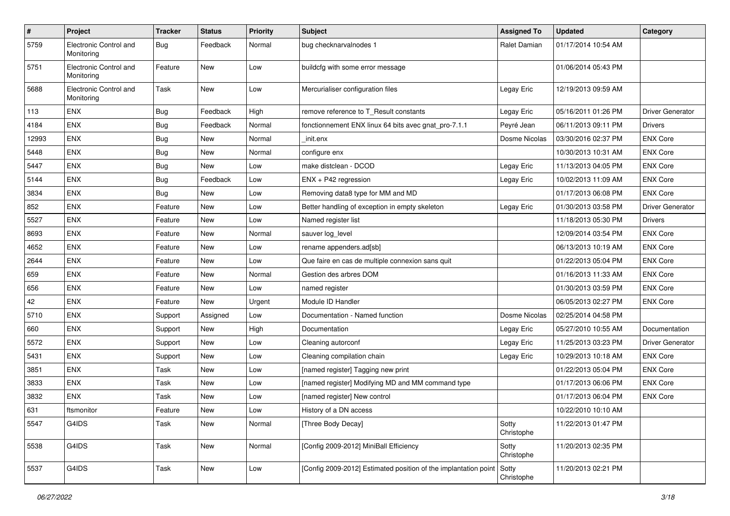| $\sharp$ | Project                              | <b>Tracker</b> | <b>Status</b> | <b>Priority</b> | <b>Subject</b>                                                        | <b>Assigned To</b>  | <b>Updated</b>      | Category                |
|----------|--------------------------------------|----------------|---------------|-----------------|-----------------------------------------------------------------------|---------------------|---------------------|-------------------------|
| 5759     | Electronic Control and<br>Monitoring | <b>Bug</b>     | Feedback      | Normal          | bug checknarvalnodes 1                                                | Ralet Damian        | 01/17/2014 10:54 AM |                         |
| 5751     | Electronic Control and<br>Monitoring | Feature        | New           | Low             | buildcfg with some error message                                      |                     | 01/06/2014 05:43 PM |                         |
| 5688     | Electronic Control and<br>Monitoring | Task           | New           | Low             | Mercurialiser configuration files                                     | Legay Eric          | 12/19/2013 09:59 AM |                         |
| 113      | ENX                                  | Bug            | Feedback      | High            | remove reference to T_Result constants                                | Legay Eric          | 05/16/2011 01:26 PM | <b>Driver Generator</b> |
| 4184     | ENX                                  | <b>Bug</b>     | Feedback      | Normal          | fonctionnement ENX linux 64 bits avec gnat_pro-7.1.1                  | Peyré Jean          | 06/11/2013 09:11 PM | <b>Drivers</b>          |
| 12993    | ENX                                  | Bug            | New           | Normal          | init.enx                                                              | Dosme Nicolas       | 03/30/2016 02:37 PM | <b>ENX Core</b>         |
| 5448     | ENX                                  | Bug            | <b>New</b>    | Normal          | configure enx                                                         |                     | 10/30/2013 10:31 AM | <b>ENX Core</b>         |
| 5447     | ENX                                  | <b>Bug</b>     | New           | Low             | make distclean - DCOD                                                 | Legay Eric          | 11/13/2013 04:05 PM | <b>ENX Core</b>         |
| 5144     | <b>ENX</b>                           | <b>Bug</b>     | Feedback      | Low             | ENX + P42 regression                                                  | Legay Eric          | 10/02/2013 11:09 AM | <b>ENX Core</b>         |
| 3834     | ENX                                  | Bug            | New           | Low             | Removing data8 type for MM and MD                                     |                     | 01/17/2013 06:08 PM | <b>ENX Core</b>         |
| 852      | ENX                                  | Feature        | New           | Low             | Better handling of exception in empty skeleton                        | Legay Eric          | 01/30/2013 03:58 PM | <b>Driver Generator</b> |
| 5527     | ENX                                  | Feature        | <b>New</b>    | Low             | Named register list                                                   |                     | 11/18/2013 05:30 PM | <b>Drivers</b>          |
| 8693     | <b>ENX</b>                           | Feature        | New           | Normal          | sauver log_level                                                      |                     | 12/09/2014 03:54 PM | <b>ENX Core</b>         |
| 4652     | ENX                                  | Feature        | New           | Low             | rename appenders.ad[sb]                                               |                     | 06/13/2013 10:19 AM | <b>ENX Core</b>         |
| 2644     | ENX                                  | Feature        | New           | Low             | Que faire en cas de multiple connexion sans quit                      |                     | 01/22/2013 05:04 PM | <b>ENX Core</b>         |
| 659      | ENX                                  | Feature        | <b>New</b>    | Normal          | Gestion des arbres DOM                                                |                     | 01/16/2013 11:33 AM | <b>ENX Core</b>         |
| 656      | ENX                                  | Feature        | <b>New</b>    | Low             | named register                                                        |                     | 01/30/2013 03:59 PM | <b>ENX Core</b>         |
| 42       | <b>ENX</b>                           | Feature        | New           | Urgent          | Module ID Handler                                                     |                     | 06/05/2013 02:27 PM | <b>ENX Core</b>         |
| 5710     | ENX                                  | Support        | Assigned      | Low             | Documentation - Named function                                        | Dosme Nicolas       | 02/25/2014 04:58 PM |                         |
| 660      | ENX                                  | Support        | New           | High            | Documentation                                                         | Legay Eric          | 05/27/2010 10:55 AM | Documentation           |
| 5572     | <b>ENX</b>                           | Support        | New           | Low             | Cleaning autorconf                                                    | Legay Eric          | 11/25/2013 03:23 PM | <b>Driver Generator</b> |
| 5431     | <b>ENX</b>                           | Support        | New           | Low             | Cleaning compilation chain                                            | Legay Eric          | 10/29/2013 10:18 AM | <b>ENX Core</b>         |
| 3851     | ENX                                  | Task           | New           | Low             | [named register] Tagging new print                                    |                     | 01/22/2013 05:04 PM | <b>ENX Core</b>         |
| 3833     | ENX                                  | Task           | New           | Low             | [named register] Modifying MD and MM command type                     |                     | 01/17/2013 06:06 PM | <b>ENX Core</b>         |
| 3832     | ENX                                  | Task           | <b>New</b>    | Low             | [named register] New control                                          |                     | 01/17/2013 06:04 PM | <b>ENX Core</b>         |
| 631      | ftsmonitor                           | Feature        | New           | Low             | History of a DN access                                                |                     | 10/22/2010 10:10 AM |                         |
| 5547     | G4IDS                                | Task           | New           | Normal          | [Three Body Decay]                                                    | Sotty<br>Christophe | 11/22/2013 01:47 PM |                         |
| 5538     | G4IDS                                | Task           | New           | Normal          | [Config 2009-2012] MiniBall Efficiency                                | Sotty<br>Christophe | 11/20/2013 02:35 PM |                         |
| 5537     | G4IDS                                | Task           | New           | Low             | [Config 2009-2012] Estimated position of the implantation point Sotty | Christophe          | 11/20/2013 02:21 PM |                         |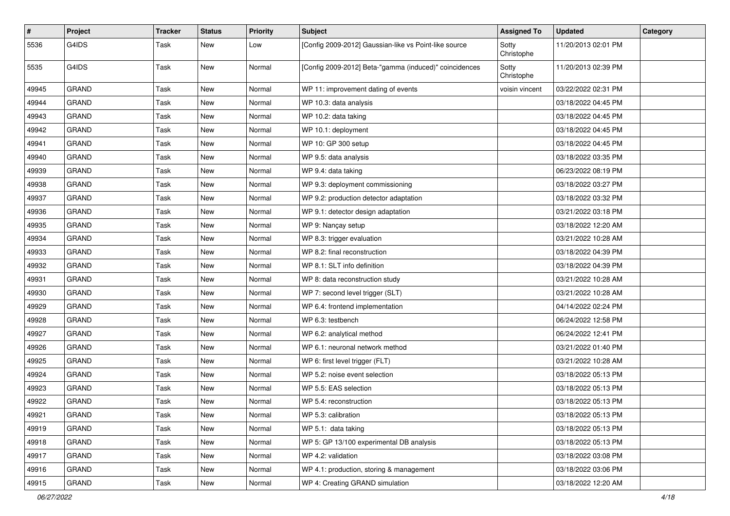| $\sharp$ | Project      | <b>Tracker</b> | <b>Status</b> | <b>Priority</b> | <b>Subject</b>                                         | <b>Assigned To</b>  | <b>Updated</b>      | Category |
|----------|--------------|----------------|---------------|-----------------|--------------------------------------------------------|---------------------|---------------------|----------|
| 5536     | G4IDS        | Task           | New           | Low             | [Config 2009-2012] Gaussian-like vs Point-like source  | Sotty<br>Christophe | 11/20/2013 02:01 PM |          |
| 5535     | G4IDS        | Task           | <b>New</b>    | Normal          | [Config 2009-2012] Beta-"gamma (induced)" coincidences | Sotty<br>Christophe | 11/20/2013 02:39 PM |          |
| 49945    | <b>GRAND</b> | Task           | <b>New</b>    | Normal          | WP 11: improvement dating of events                    | voisin vincent      | 03/22/2022 02:31 PM |          |
| 49944    | <b>GRAND</b> | Task           | <b>New</b>    | Normal          | WP 10.3: data analysis                                 |                     | 03/18/2022 04:45 PM |          |
| 49943    | <b>GRAND</b> | Task           | <b>New</b>    | Normal          | WP 10.2: data taking                                   |                     | 03/18/2022 04:45 PM |          |
| 49942    | <b>GRAND</b> | Task           | New           | Normal          | WP 10.1: deployment                                    |                     | 03/18/2022 04:45 PM |          |
| 49941    | <b>GRAND</b> | Task           | <b>New</b>    | Normal          | WP 10: GP 300 setup                                    |                     | 03/18/2022 04:45 PM |          |
| 49940    | GRAND        | Task           | <b>New</b>    | Normal          | WP 9.5: data analysis                                  |                     | 03/18/2022 03:35 PM |          |
| 49939    | <b>GRAND</b> | Task           | <b>New</b>    | Normal          | WP 9.4: data taking                                    |                     | 06/23/2022 08:19 PM |          |
| 49938    | <b>GRAND</b> | Task           | <b>New</b>    | Normal          | WP 9.3: deployment commissioning                       |                     | 03/18/2022 03:27 PM |          |
| 49937    | <b>GRAND</b> | Task           | New           | Normal          | WP 9.2: production detector adaptation                 |                     | 03/18/2022 03:32 PM |          |
| 49936    | <b>GRAND</b> | Task           | <b>New</b>    | Normal          | WP 9.1: detector design adaptation                     |                     | 03/21/2022 03:18 PM |          |
| 49935    | <b>GRAND</b> | Task           | <b>New</b>    | Normal          | WP 9: Nançay setup                                     |                     | 03/18/2022 12:20 AM |          |
| 49934    | <b>GRAND</b> | Task           | <b>New</b>    | Normal          | WP 8.3: trigger evaluation                             |                     | 03/21/2022 10:28 AM |          |
| 49933    | <b>GRAND</b> | Task           | <b>New</b>    | Normal          | WP 8.2: final reconstruction                           |                     | 03/18/2022 04:39 PM |          |
| 49932    | <b>GRAND</b> | Task           | <b>New</b>    | Normal          | WP 8.1: SLT info definition                            |                     | 03/18/2022 04:39 PM |          |
| 49931    | <b>GRAND</b> | Task           | <b>New</b>    | Normal          | WP 8: data reconstruction study                        |                     | 03/21/2022 10:28 AM |          |
| 49930    | <b>GRAND</b> | Task           | <b>New</b>    | Normal          | WP 7: second level trigger (SLT)                       |                     | 03/21/2022 10:28 AM |          |
| 49929    | <b>GRAND</b> | Task           | New           | Normal          | WP 6.4: frontend implementation                        |                     | 04/14/2022 02:24 PM |          |
| 49928    | <b>GRAND</b> | Task           | <b>New</b>    | Normal          | WP 6.3: testbench                                      |                     | 06/24/2022 12:58 PM |          |
| 49927    | <b>GRAND</b> | Task           | <b>New</b>    | Normal          | WP 6.2: analytical method                              |                     | 06/24/2022 12:41 PM |          |
| 49926    | GRAND        | Task           | <b>New</b>    | Normal          | WP 6.1: neuronal network method                        |                     | 03/21/2022 01:40 PM |          |
| 49925    | <b>GRAND</b> | Task           | <b>New</b>    | Normal          | WP 6: first level trigger (FLT)                        |                     | 03/21/2022 10:28 AM |          |
| 49924    | <b>GRAND</b> | Task           | New           | Normal          | WP 5.2: noise event selection                          |                     | 03/18/2022 05:13 PM |          |
| 49923    | <b>GRAND</b> | Task           | <b>New</b>    | Normal          | WP 5.5: EAS selection                                  |                     | 03/18/2022 05:13 PM |          |
| 49922    | GRAND        | Task           | <b>New</b>    | Normal          | WP 5.4: reconstruction                                 |                     | 03/18/2022 05:13 PM |          |
| 49921    | <b>GRAND</b> | Task           | New           | Normal          | WP 5.3: calibration                                    |                     | 03/18/2022 05:13 PM |          |
| 49919    | <b>GRAND</b> | Task           | New           | Normal          | WP 5.1: data taking                                    |                     | 03/18/2022 05:13 PM |          |
| 49918    | GRAND        | Task           | New           | Normal          | WP 5: GP 13/100 experimental DB analysis               |                     | 03/18/2022 05:13 PM |          |
| 49917    | GRAND        | Task           | New           | Normal          | WP 4.2: validation                                     |                     | 03/18/2022 03:08 PM |          |
| 49916    | GRAND        | Task           | New           | Normal          | WP 4.1: production, storing & management               |                     | 03/18/2022 03:06 PM |          |
| 49915    | GRAND        | Task           | New           | Normal          | WP 4: Creating GRAND simulation                        |                     | 03/18/2022 12:20 AM |          |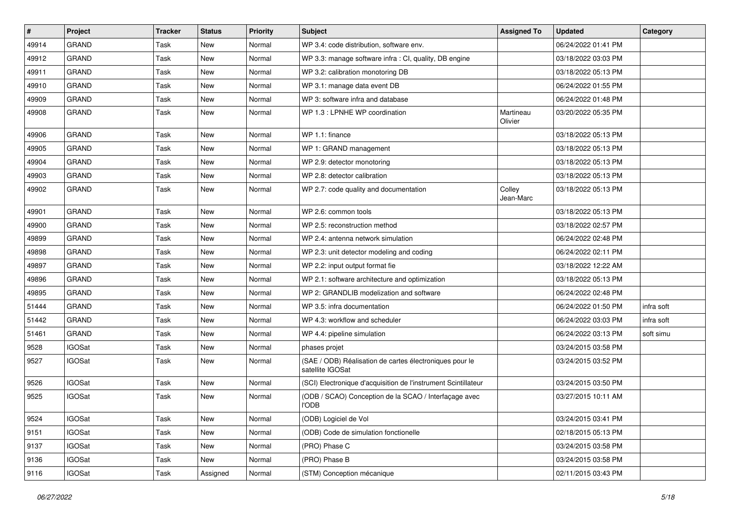| #     | Project       | <b>Tracker</b> | <b>Status</b> | <b>Priority</b> | Subject                                                                     | <b>Assigned To</b>   | <b>Updated</b>      | Category   |
|-------|---------------|----------------|---------------|-----------------|-----------------------------------------------------------------------------|----------------------|---------------------|------------|
| 49914 | <b>GRAND</b>  | Task           | <b>New</b>    | Normal          | WP 3.4: code distribution, software env.                                    |                      | 06/24/2022 01:41 PM |            |
| 49912 | <b>GRAND</b>  | Task           | <b>New</b>    | Normal          | WP 3.3: manage software infra : CI, quality, DB engine                      |                      | 03/18/2022 03:03 PM |            |
| 49911 | <b>GRAND</b>  | Task           | New           | Normal          | WP 3.2: calibration monotoring DB                                           |                      | 03/18/2022 05:13 PM |            |
| 49910 | <b>GRAND</b>  | Task           | <b>New</b>    | Normal          | WP 3.1: manage data event DB                                                |                      | 06/24/2022 01:55 PM |            |
| 49909 | <b>GRAND</b>  | Task           | <b>New</b>    | Normal          | WP 3: software infra and database                                           |                      | 06/24/2022 01:48 PM |            |
| 49908 | <b>GRAND</b>  | Task           | New           | Normal          | WP 1.3 : LPNHE WP coordination                                              | Martineau<br>Olivier | 03/20/2022 05:35 PM |            |
| 49906 | <b>GRAND</b>  | Task           | <b>New</b>    | Normal          | WP 1.1: finance                                                             |                      | 03/18/2022 05:13 PM |            |
| 49905 | <b>GRAND</b>  | Task           | <b>New</b>    | Normal          | WP 1: GRAND management                                                      |                      | 03/18/2022 05:13 PM |            |
| 49904 | <b>GRAND</b>  | Task           | <b>New</b>    | Normal          | WP 2.9: detector monotoring                                                 |                      | 03/18/2022 05:13 PM |            |
| 49903 | <b>GRAND</b>  | Task           | <b>New</b>    | Normal          | WP 2.8: detector calibration                                                |                      | 03/18/2022 05:13 PM |            |
| 49902 | <b>GRAND</b>  | Task           | New           | Normal          | WP 2.7: code quality and documentation                                      | Colley<br>Jean-Marc  | 03/18/2022 05:13 PM |            |
| 49901 | <b>GRAND</b>  | Task           | <b>New</b>    | Normal          | WP 2.6: common tools                                                        |                      | 03/18/2022 05:13 PM |            |
| 49900 | <b>GRAND</b>  | Task           | <b>New</b>    | Normal          | WP 2.5: reconstruction method                                               |                      | 03/18/2022 02:57 PM |            |
| 49899 | <b>GRAND</b>  | Task           | New           | Normal          | WP 2.4: antenna network simulation                                          |                      | 06/24/2022 02:48 PM |            |
| 49898 | <b>GRAND</b>  | Task           | New           | Normal          | WP 2.3: unit detector modeling and coding                                   |                      | 06/24/2022 02:11 PM |            |
| 49897 | <b>GRAND</b>  | Task           | New           | Normal          | WP 2.2: input output format fie                                             |                      | 03/18/2022 12:22 AM |            |
| 49896 | <b>GRAND</b>  | Task           | <b>New</b>    | Normal          | WP 2.1: software architecture and optimization                              |                      | 03/18/2022 05:13 PM |            |
| 49895 | <b>GRAND</b>  | Task           | <b>New</b>    | Normal          | WP 2: GRANDLIB modelization and software                                    |                      | 06/24/2022 02:48 PM |            |
| 51444 | <b>GRAND</b>  | Task           | <b>New</b>    | Normal          | WP 3.5: infra documentation                                                 |                      | 06/24/2022 01:50 PM | infra soft |
| 51442 | <b>GRAND</b>  | Task           | New           | Normal          | WP 4.3: workflow and scheduler                                              |                      | 06/24/2022 03:03 PM | infra soft |
| 51461 | <b>GRAND</b>  | Task           | <b>New</b>    | Normal          | WP 4.4: pipeline simulation                                                 |                      | 06/24/2022 03:13 PM | soft simu  |
| 9528  | <b>IGOSat</b> | Task           | New           | Normal          | phases projet                                                               |                      | 03/24/2015 03:58 PM |            |
| 9527  | <b>IGOSat</b> | Task           | New           | Normal          | (SAE / ODB) Réalisation de cartes électroniques pour le<br>satellite IGOSat |                      | 03/24/2015 03:52 PM |            |
| 9526  | <b>IGOSat</b> | Task           | <b>New</b>    | Normal          | (SCI) Electronique d'acquisition de l'instrument Scintillateur              |                      | 03/24/2015 03:50 PM |            |
| 9525  | <b>IGOSat</b> | Task           | New           | Normal          | (ODB / SCAO) Conception de la SCAO / Interfaçage avec<br><b>I'ODB</b>       |                      | 03/27/2015 10:11 AM |            |
| 9524  | <b>IGOSat</b> | Task           | New           | Normal          | (ODB) Logiciel de Vol                                                       |                      | 03/24/2015 03:41 PM |            |
| 9151  | <b>IGOSat</b> | Task           | New           | Normal          | (ODB) Code de simulation fonctionelle                                       |                      | 02/18/2015 05:13 PM |            |
| 9137  | <b>IGOSat</b> | Task           | New           | Normal          | (PRO) Phase C                                                               |                      | 03/24/2015 03:58 PM |            |
| 9136  | <b>IGOSat</b> | Task           | New           | Normal          | (PRO) Phase B                                                               |                      | 03/24/2015 03:58 PM |            |
| 9116  | <b>IGOSat</b> | Task           | Assigned      | Normal          | (STM) Conception mécanique                                                  |                      | 02/11/2015 03:43 PM |            |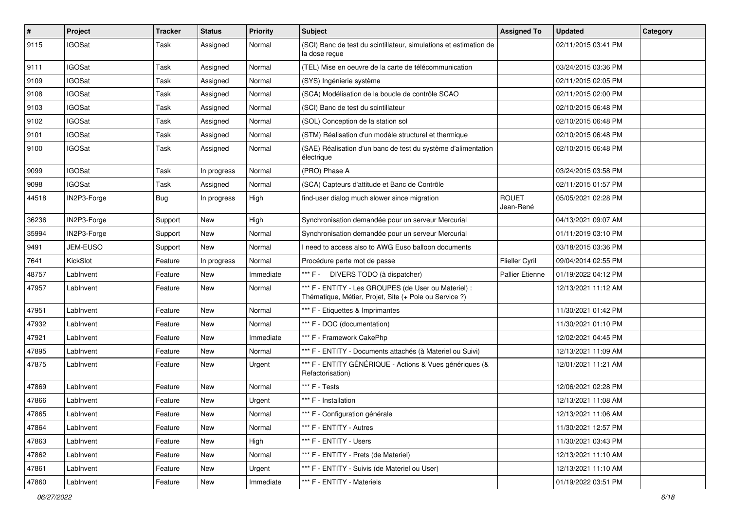| $\sharp$ | Project         | <b>Tracker</b> | <b>Status</b> | <b>Priority</b> | <b>Subject</b>                                                                                                 | <b>Assigned To</b>        | <b>Updated</b>      | Category |
|----------|-----------------|----------------|---------------|-----------------|----------------------------------------------------------------------------------------------------------------|---------------------------|---------------------|----------|
| 9115     | <b>IGOSat</b>   | Task           | Assigned      | Normal          | (SCI) Banc de test du scintillateur, simulations et estimation de<br>la dose recue                             |                           | 02/11/2015 03:41 PM |          |
| 9111     | <b>IGOSat</b>   | Task           | Assigned      | Normal          | (TEL) Mise en oeuvre de la carte de télécommunication                                                          |                           | 03/24/2015 03:36 PM |          |
| 9109     | <b>IGOSat</b>   | Task           | Assigned      | Normal          | (SYS) Ingénierie système                                                                                       |                           | 02/11/2015 02:05 PM |          |
| 9108     | <b>IGOSat</b>   | Task           | Assigned      | Normal          | (SCA) Modélisation de la boucle de contrôle SCAO                                                               |                           | 02/11/2015 02:00 PM |          |
| 9103     | <b>IGOSat</b>   | Task           | Assigned      | Normal          | (SCI) Banc de test du scintillateur                                                                            |                           | 02/10/2015 06:48 PM |          |
| 9102     | <b>IGOSat</b>   | Task           | Assigned      | Normal          | (SOL) Conception de la station sol                                                                             |                           | 02/10/2015 06:48 PM |          |
| 9101     | <b>IGOSat</b>   | Task           | Assigned      | Normal          | (STM) Réalisation d'un modèle structurel et thermique                                                          |                           | 02/10/2015 06:48 PM |          |
| 9100     | <b>IGOSat</b>   | Task           | Assigned      | Normal          | (SAE) Réalisation d'un banc de test du système d'alimentation<br>électrique                                    |                           | 02/10/2015 06:48 PM |          |
| 9099     | <b>IGOSat</b>   | Task           | In progress   | Normal          | (PRO) Phase A                                                                                                  |                           | 03/24/2015 03:58 PM |          |
| 9098     | <b>IGOSat</b>   | Task           | Assigned      | Normal          | (SCA) Capteurs d'attitude et Banc de Contrôle                                                                  |                           | 02/11/2015 01:57 PM |          |
| 44518    | IN2P3-Forge     | Bug            | In progress   | High            | find-user dialog much slower since migration                                                                   | <b>ROUET</b><br>Jean-René | 05/05/2021 02:28 PM |          |
| 36236    | IN2P3-Forge     | Support        | New           | High            | Synchronisation demandée pour un serveur Mercurial                                                             |                           | 04/13/2021 09:07 AM |          |
| 35994    | IN2P3-Forge     | Support        | New           | Normal          | Synchronisation demandée pour un serveur Mercurial                                                             |                           | 01/11/2019 03:10 PM |          |
| 9491     | <b>JEM-EUSO</b> | Support        | <b>New</b>    | Normal          | need to access also to AWG Euso balloon documents                                                              |                           | 03/18/2015 03:36 PM |          |
| 7641     | KickSlot        | Feature        | In progress   | Normal          | Procédure perte mot de passe                                                                                   | <b>Flieller Cyril</b>     | 09/04/2014 02:55 PM |          |
| 48757    | LabInvent       | Feature        | New           | Immediate       | *** F - DIVERS TODO (à dispatcher)                                                                             | <b>Pallier Etienne</b>    | 01/19/2022 04:12 PM |          |
| 47957    | LabInvent       | Feature        | New           | Normal          | *** F - ENTITY - Les GROUPES (de User ou Materiel) :<br>Thématique, Métier, Projet, Site (+ Pole ou Service ?) |                           | 12/13/2021 11:12 AM |          |
| 47951    | LabInvent       | Feature        | <b>New</b>    | Normal          | *** F - Etiquettes & Imprimantes                                                                               |                           | 11/30/2021 01:42 PM |          |
| 47932    | LabInvent       | Feature        | <b>New</b>    | Normal          | *** F - DOC (documentation)                                                                                    |                           | 11/30/2021 01:10 PM |          |
| 47921    | LabInvent       | Feature        | New           | Immediate       | *** F - Framework CakePhp                                                                                      |                           | 12/02/2021 04:45 PM |          |
| 47895    | LabInvent       | Feature        | New           | Normal          | *** F - ENTITY - Documents attachés (à Materiel ou Suivi)                                                      |                           | 12/13/2021 11:09 AM |          |
| 47875    | LabInvent       | Feature        | <b>New</b>    | Urgent          | *** F - ENTITY GÉNÉRIQUE - Actions & Vues génériques (&<br>Refactorisation)                                    |                           | 12/01/2021 11:21 AM |          |
| 47869    | LabInvent       | Feature        | <b>New</b>    | Normal          | *** F - Tests                                                                                                  |                           | 12/06/2021 02:28 PM |          |
| 47866    | LabInvent       | Feature        | New           | Urgent          | *** F - Installation                                                                                           |                           | 12/13/2021 11:08 AM |          |
| 47865    | LabInvent       | Feature        | New           | Normal          | *** F - Configuration générale                                                                                 |                           | 12/13/2021 11:06 AM |          |
| 47864    | LabInvent       | Feature        | New           | Normal          | *** F - ENTITY - Autres                                                                                        |                           | 11/30/2021 12:57 PM |          |
| 47863    | LabInvent       | Feature        | New           | High            | *** F - ENTITY - Users                                                                                         |                           | 11/30/2021 03:43 PM |          |
| 47862    | LabInvent       | Feature        | New           | Normal          | *** F - ENTITY - Prets (de Materiel)                                                                           |                           | 12/13/2021 11:10 AM |          |
| 47861    | LabInvent       | Feature        | New           | Urgent          | *** F - ENTITY - Suivis (de Materiel ou User)                                                                  |                           | 12/13/2021 11:10 AM |          |
| 47860    | LabInvent       | Feature        | New           | Immediate       | *** F - ENTITY - Materiels                                                                                     |                           | 01/19/2022 03:51 PM |          |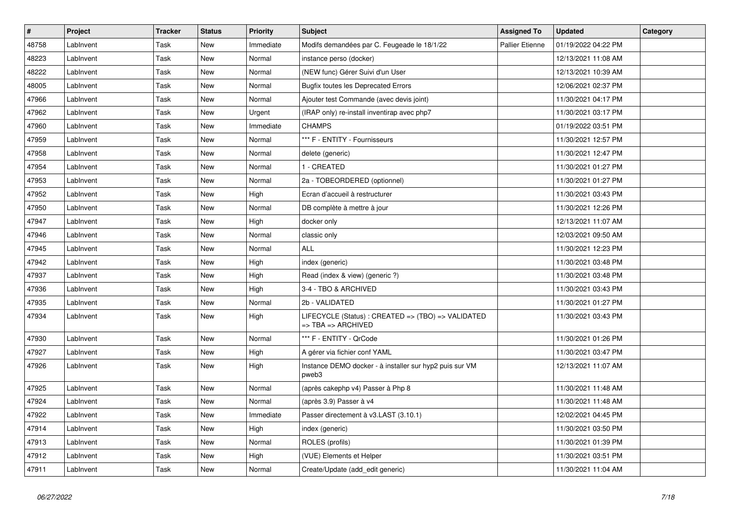| #     | Project   | <b>Tracker</b> | <b>Status</b> | <b>Priority</b> | <b>Subject</b>                                                           | <b>Assigned To</b>     | <b>Updated</b>      | Category |
|-------|-----------|----------------|---------------|-----------------|--------------------------------------------------------------------------|------------------------|---------------------|----------|
| 48758 | LabInvent | Task           | <b>New</b>    | Immediate       | Modifs demandées par C. Feugeade le 18/1/22                              | <b>Pallier Etienne</b> | 01/19/2022 04:22 PM |          |
| 48223 | LabInvent | Task           | <b>New</b>    | Normal          | instance perso (docker)                                                  |                        | 12/13/2021 11:08 AM |          |
| 48222 | LabInvent | Task           | <b>New</b>    | Normal          | (NEW func) Gérer Suivi d'un User                                         |                        | 12/13/2021 10:39 AM |          |
| 48005 | LabInvent | Task           | <b>New</b>    | Normal          | <b>Bugfix toutes les Deprecated Errors</b>                               |                        | 12/06/2021 02:37 PM |          |
| 47966 | LabInvent | Task           | <b>New</b>    | Normal          | Ajouter test Commande (avec devis joint)                                 |                        | 11/30/2021 04:17 PM |          |
| 47962 | LabInvent | Task           | <b>New</b>    | Urgent          | (IRAP only) re-install inventirap avec php7                              |                        | 11/30/2021 03:17 PM |          |
| 47960 | LabInvent | Task           | <b>New</b>    | Immediate       | <b>CHAMPS</b>                                                            |                        | 01/19/2022 03:51 PM |          |
| 47959 | LabInvent | Task           | <b>New</b>    | Normal          | *** F - ENTITY - Fournisseurs                                            |                        | 11/30/2021 12:57 PM |          |
| 47958 | LabInvent | Task           | <b>New</b>    | Normal          | delete (generic)                                                         |                        | 11/30/2021 12:47 PM |          |
| 47954 | LabInvent | Task           | <b>New</b>    | Normal          | 1 - CREATED                                                              |                        | 11/30/2021 01:27 PM |          |
| 47953 | LabInvent | Task           | <b>New</b>    | Normal          | 2a - TOBEORDERED (optionnel)                                             |                        | 11/30/2021 01:27 PM |          |
| 47952 | LabInvent | Task           | New           | High            | Ecran d'accueil à restructurer                                           |                        | 11/30/2021 03:43 PM |          |
| 47950 | LabInvent | Task           | <b>New</b>    | Normal          | DB complète à mettre à jour                                              |                        | 11/30/2021 12:26 PM |          |
| 47947 | LabInvent | Task           | <b>New</b>    | High            | docker only                                                              |                        | 12/13/2021 11:07 AM |          |
| 47946 | LabInvent | Task           | <b>New</b>    | Normal          | classic only                                                             |                        | 12/03/2021 09:50 AM |          |
| 47945 | LabInvent | Task           | New           | Normal          | <b>ALL</b>                                                               |                        | 11/30/2021 12:23 PM |          |
| 47942 | LabInvent | Task           | New           | High            | index (generic)                                                          |                        | 11/30/2021 03:48 PM |          |
| 47937 | LabInvent | Task           | <b>New</b>    | High            | Read (index & view) (generic ?)                                          |                        | 11/30/2021 03:48 PM |          |
| 47936 | LabInvent | Task           | <b>New</b>    | High            | 3-4 - TBO & ARCHIVED                                                     |                        | 11/30/2021 03:43 PM |          |
| 47935 | LabInvent | Task           | <b>New</b>    | Normal          | 2b - VALIDATED                                                           |                        | 11/30/2021 01:27 PM |          |
| 47934 | LabInvent | Task           | <b>New</b>    | High            | LIFECYCLE (Status) : CREATED => (TBO) => VALIDATED<br>=> TBA => ARCHIVED |                        | 11/30/2021 03:43 PM |          |
| 47930 | LabInvent | Task           | <b>New</b>    | Normal          | *** F - ENTITY - QrCode                                                  |                        | 11/30/2021 01:26 PM |          |
| 47927 | LabInvent | Task           | <b>New</b>    | High            | A gérer via fichier conf YAML                                            |                        | 11/30/2021 03:47 PM |          |
| 47926 | LabInvent | Task           | <b>New</b>    | High            | Instance DEMO docker - à installer sur hyp2 puis sur VM<br>pweb3         |                        | 12/13/2021 11:07 AM |          |
| 47925 | LabInvent | Task           | <b>New</b>    | Normal          | (après cakephp v4) Passer à Php 8                                        |                        | 11/30/2021 11:48 AM |          |
| 47924 | LabInvent | Task           | <b>New</b>    | Normal          | (après 3.9) Passer à v4                                                  |                        | 11/30/2021 11:48 AM |          |
| 47922 | LabInvent | Task           | <b>New</b>    | Immediate       | Passer directement à v3.LAST (3.10.1)                                    |                        | 12/02/2021 04:45 PM |          |
| 47914 | LabInvent | Task           | <b>New</b>    | High            | index (generic)                                                          |                        | 11/30/2021 03:50 PM |          |
| 47913 | LabInvent | Task           | <b>New</b>    | Normal          | ROLES (profils)                                                          |                        | 11/30/2021 01:39 PM |          |
| 47912 | LabInvent | Task           | <b>New</b>    | High            | (VUE) Elements et Helper                                                 |                        | 11/30/2021 03:51 PM |          |
| 47911 | LabInvent | Task           | <b>New</b>    | Normal          | Create/Update (add_edit generic)                                         |                        | 11/30/2021 11:04 AM |          |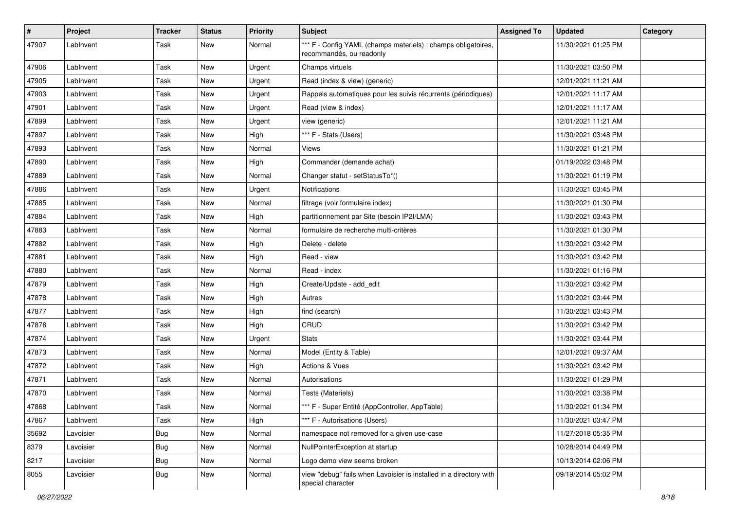| #     | Project   | <b>Tracker</b> | <b>Status</b> | <b>Priority</b> | <b>Subject</b>                                                                            | <b>Assigned To</b> | <b>Updated</b>      | Category |
|-------|-----------|----------------|---------------|-----------------|-------------------------------------------------------------------------------------------|--------------------|---------------------|----------|
| 47907 | LabInvent | Task           | <b>New</b>    | Normal          | *** F - Config YAML (champs materiels) : champs obligatoires,<br>recommandés, ou readonly |                    | 11/30/2021 01:25 PM |          |
| 47906 | LabInvent | Task           | New           | Urgent          | Champs virtuels                                                                           |                    | 11/30/2021 03:50 PM |          |
| 47905 | LabInvent | Task           | <b>New</b>    | Urgent          | Read (index & view) (generic)                                                             |                    | 12/01/2021 11:21 AM |          |
| 47903 | LabInvent | Task           | <b>New</b>    | Urgent          | Rappels automatiques pour les suivis récurrents (périodiques)                             |                    | 12/01/2021 11:17 AM |          |
| 47901 | LabInvent | Task           | <b>New</b>    | Urgent          | Read (view & index)                                                                       |                    | 12/01/2021 11:17 AM |          |
| 47899 | LabInvent | Task           | <b>New</b>    | Urgent          | view (generic)                                                                            |                    | 12/01/2021 11:21 AM |          |
| 47897 | LabInvent | Task           | New           | High            | *** F - Stats (Users)                                                                     |                    | 11/30/2021 03:48 PM |          |
| 47893 | LabInvent | Task           | <b>New</b>    | Normal          | Views                                                                                     |                    | 11/30/2021 01:21 PM |          |
| 47890 | LabInvent | Task           | <b>New</b>    | High            | Commander (demande achat)                                                                 |                    | 01/19/2022 03:48 PM |          |
| 47889 | LabInvent | Task           | <b>New</b>    | Normal          | Changer statut - setStatusTo*()                                                           |                    | 11/30/2021 01:19 PM |          |
| 47886 | LabInvent | Task           | <b>New</b>    | Urgent          | Notifications                                                                             |                    | 11/30/2021 03:45 PM |          |
| 47885 | LabInvent | Task           | New           | Normal          | filtrage (voir formulaire index)                                                          |                    | 11/30/2021 01:30 PM |          |
| 47884 | LabInvent | Task           | <b>New</b>    | High            | partitionnement par Site (besoin IP2I/LMA)                                                |                    | 11/30/2021 03:43 PM |          |
| 47883 | LabInvent | Task           | <b>New</b>    | Normal          | formulaire de recherche multi-critères                                                    |                    | 11/30/2021 01:30 PM |          |
| 47882 | LabInvent | Task           | New           | High            | Delete - delete                                                                           |                    | 11/30/2021 03:42 PM |          |
| 47881 | LabInvent | Task           | <b>New</b>    | High            | Read - view                                                                               |                    | 11/30/2021 03:42 PM |          |
| 47880 | LabInvent | Task           | <b>New</b>    | Normal          | Read - index                                                                              |                    | 11/30/2021 01:16 PM |          |
| 47879 | LabInvent | Task           | <b>New</b>    | High            | Create/Update - add_edit                                                                  |                    | 11/30/2021 03:42 PM |          |
| 47878 | LabInvent | Task           | <b>New</b>    | High            | Autres                                                                                    |                    | 11/30/2021 03:44 PM |          |
| 47877 | LabInvent | Task           | New           | High            | find (search)                                                                             |                    | 11/30/2021 03:43 PM |          |
| 47876 | LabInvent | Task           | <b>New</b>    | High            | CRUD                                                                                      |                    | 11/30/2021 03:42 PM |          |
| 47874 | LabInvent | Task           | <b>New</b>    | Urgent          | <b>Stats</b>                                                                              |                    | 11/30/2021 03:44 PM |          |
| 47873 | LabInvent | Task           | <b>New</b>    | Normal          | Model (Entity & Table)                                                                    |                    | 12/01/2021 09:37 AM |          |
| 47872 | LabInvent | Task           | <b>New</b>    | High            | <b>Actions &amp; Vues</b>                                                                 |                    | 11/30/2021 03:42 PM |          |
| 47871 | LabInvent | Task           | New           | Normal          | Autorisations                                                                             |                    | 11/30/2021 01:29 PM |          |
| 47870 | LabInvent | Task           | <b>New</b>    | Normal          | Tests (Materiels)                                                                         |                    | 11/30/2021 03:38 PM |          |
| 47868 | LabInvent | Task           | <b>New</b>    | Normal          | *** F - Super Entité (AppController, AppTable)                                            |                    | 11/30/2021 01:34 PM |          |
| 47867 | LabInvent | Task           | New           | High            | *** F - Autorisations (Users)                                                             |                    | 11/30/2021 03:47 PM |          |
| 35692 | Lavoisier | <b>Bug</b>     | New           | Normal          | namespace not removed for a given use-case                                                |                    | 11/27/2018 05:35 PM |          |
| 8379  | Lavoisier | <b>Bug</b>     | New           | Normal          | NullPointerException at startup                                                           |                    | 10/28/2014 04:49 PM |          |
| 8217  | Lavoisier | <b>Bug</b>     | New           | Normal          | Logo demo view seems broken                                                               |                    | 10/13/2014 02:06 PM |          |
| 8055  | Lavoisier | <b>Bug</b>     | New           | Normal          | view "debug" fails when Lavoisier is installed in a directory with<br>special character   |                    | 09/19/2014 05:02 PM |          |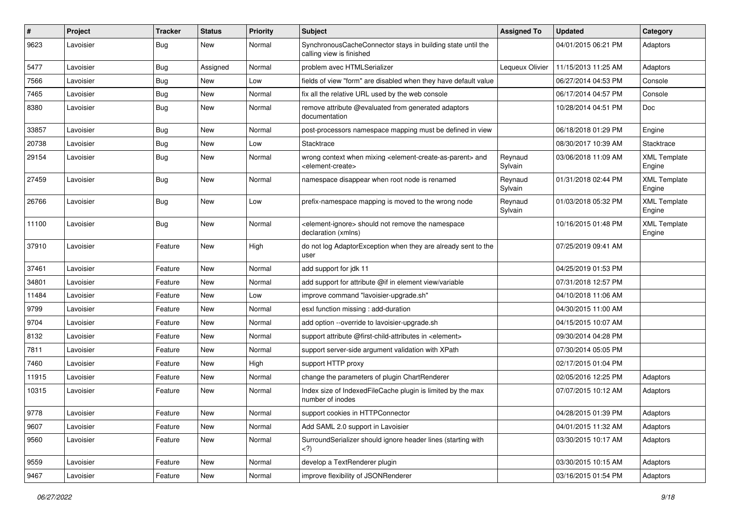| #     | Project   | <b>Tracker</b> | <b>Status</b> | <b>Priority</b> | <b>Subject</b>                                                                                                            | <b>Assigned To</b> | <b>Updated</b>      | Category                      |
|-------|-----------|----------------|---------------|-----------------|---------------------------------------------------------------------------------------------------------------------------|--------------------|---------------------|-------------------------------|
| 9623  | Lavoisier | <b>Bug</b>     | New           | Normal          | SynchronousCacheConnector stays in building state until the<br>calling view is finished                                   |                    | 04/01/2015 06:21 PM | Adaptors                      |
| 5477  | Lavoisier | <b>Bug</b>     | Assigned      | Normal          | problem avec HTMLSerializer                                                                                               | Lequeux Olivier    | 11/15/2013 11:25 AM | Adaptors                      |
| 7566  | Lavoisier | Bug            | New           | Low             | fields of view "form" are disabled when they have default value                                                           |                    | 06/27/2014 04:53 PM | Console                       |
| 7465  | Lavoisier | <b>Bug</b>     | New           | Normal          | fix all the relative URL used by the web console                                                                          |                    | 06/17/2014 04:57 PM | Console                       |
| 8380  | Lavoisier | <b>Bug</b>     | New           | Normal          | remove attribute @evaluated from generated adaptors<br>documentation                                                      |                    | 10/28/2014 04:51 PM | Doc                           |
| 33857 | Lavoisier | <b>Bug</b>     | New           | Normal          | post-processors namespace mapping must be defined in view                                                                 |                    | 06/18/2018 01:29 PM | Engine                        |
| 20738 | Lavoisier | <b>Bug</b>     | New           | Low             | Stacktrace                                                                                                                |                    | 08/30/2017 10:39 AM | Stacktrace                    |
| 29154 | Lavoisier | Bug            | <b>New</b>    | Normal          | wrong context when mixing <element-create-as-parent> and<br/><element-create></element-create></element-create-as-parent> | Reynaud<br>Sylvain | 03/06/2018 11:09 AM | <b>XML Template</b><br>Engine |
| 27459 | Lavoisier | <b>Bug</b>     | New           | Normal          | namespace disappear when root node is renamed                                                                             | Reynaud<br>Sylvain | 01/31/2018 02:44 PM | <b>XML Template</b><br>Engine |
| 26766 | Lavoisier | Bug            | New           | Low             | prefix-namespace mapping is moved to the wrong node                                                                       | Reynaud<br>Sylvain | 01/03/2018 05:32 PM | <b>XML Template</b><br>Engine |
| 11100 | Lavoisier | <b>Bug</b>     | New           | Normal          | <element-ignore> should not remove the namespace<br/>declaration (xmlns)</element-ignore>                                 |                    | 10/16/2015 01:48 PM | <b>XML Template</b><br>Engine |
| 37910 | Lavoisier | Feature        | <b>New</b>    | High            | do not log AdaptorException when they are already sent to the<br>user                                                     |                    | 07/25/2019 09:41 AM |                               |
| 37461 | Lavoisier | Feature        | New           | Normal          | add support for jdk 11                                                                                                    |                    | 04/25/2019 01:53 PM |                               |
| 34801 | Lavoisier | Feature        | <b>New</b>    | Normal          | add support for attribute @if in element view/variable                                                                    |                    | 07/31/2018 12:57 PM |                               |
| 11484 | Lavoisier | Feature        | New           | Low             | improve command "lavoisier-upgrade.sh"                                                                                    |                    | 04/10/2018 11:06 AM |                               |
| 9799  | Lavoisier | Feature        | New           | Normal          | esxl function missing : add-duration                                                                                      |                    | 04/30/2015 11:00 AM |                               |
| 9704  | Lavoisier | Feature        | New           | Normal          | add option --override to lavoisier-upgrade.sh                                                                             |                    | 04/15/2015 10:07 AM |                               |
| 8132  | Lavoisier | Feature        | New           | Normal          | support attribute @first-child-attributes in <element></element>                                                          |                    | 09/30/2014 04:28 PM |                               |
| 7811  | Lavoisier | Feature        | New           | Normal          | support server-side argument validation with XPath                                                                        |                    | 07/30/2014 05:05 PM |                               |
| 7460  | Lavoisier | Feature        | New           | High            | support HTTP proxy                                                                                                        |                    | 02/17/2015 01:04 PM |                               |
| 11915 | Lavoisier | Feature        | New           | Normal          | change the parameters of plugin ChartRenderer                                                                             |                    | 02/05/2016 12:25 PM | Adaptors                      |
| 10315 | Lavoisier | Feature        | New           | Normal          | Index size of IndexedFileCache plugin is limited by the max<br>number of inodes                                           |                    | 07/07/2015 10:12 AM | Adaptors                      |
| 9778  | Lavoisier | Feature        | New           | Normal          | support cookies in HTTPConnector                                                                                          |                    | 04/28/2015 01:39 PM | Adaptors                      |
| 9607  | Lavoisier | Feature        | New           | Normal          | Add SAML 2.0 support in Lavoisier                                                                                         |                    | 04/01/2015 11:32 AM | Adaptors                      |
| 9560  | Lavoisier | Feature        | New           | Normal          | SurroundSerializer should ignore header lines (starting with<br>$<$ ?)                                                    |                    | 03/30/2015 10:17 AM | Adaptors                      |
| 9559  | Lavoisier | Feature        | New           | Normal          | develop a TextRenderer plugin                                                                                             |                    | 03/30/2015 10:15 AM | Adaptors                      |
| 9467  | Lavoisier | Feature        | New           | Normal          | improve flexibility of JSONRenderer                                                                                       |                    | 03/16/2015 01:54 PM | Adaptors                      |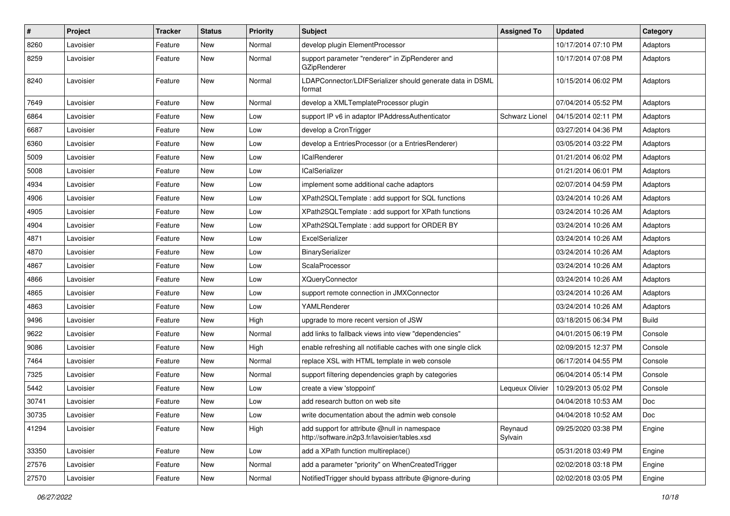| $\pmb{\#}$ | <b>Project</b> | <b>Tracker</b> | <b>Status</b> | <b>Priority</b> | Subject                                                                                       | <b>Assigned To</b>    | <b>Updated</b>      | Category     |
|------------|----------------|----------------|---------------|-----------------|-----------------------------------------------------------------------------------------------|-----------------------|---------------------|--------------|
| 8260       | Lavoisier      | Feature        | New           | Normal          | develop plugin ElementProcessor                                                               |                       | 10/17/2014 07:10 PM | Adaptors     |
| 8259       | Lavoisier      | Feature        | <b>New</b>    | Normal          | support parameter "renderer" in ZipRenderer and<br>GZipRenderer                               |                       | 10/17/2014 07:08 PM | Adaptors     |
| 8240       | Lavoisier      | Feature        | <b>New</b>    | Normal          | LDAPConnector/LDIFSerializer should generate data in DSML<br>format                           |                       | 10/15/2014 06:02 PM | Adaptors     |
| 7649       | Lavoisier      | Feature        | <b>New</b>    | Normal          | develop a XMLTemplateProcessor plugin                                                         |                       | 07/04/2014 05:52 PM | Adaptors     |
| 6864       | Lavoisier      | Feature        | <b>New</b>    | Low             | support IP v6 in adaptor IPAddressAuthenticator                                               | <b>Schwarz Lionel</b> | 04/15/2014 02:11 PM | Adaptors     |
| 6687       | Lavoisier      | Feature        | New           | Low             | develop a CronTrigger                                                                         |                       | 03/27/2014 04:36 PM | Adaptors     |
| 6360       | Lavoisier      | Feature        | New           | Low             | develop a EntriesProcessor (or a EntriesRenderer)                                             |                       | 03/05/2014 03:22 PM | Adaptors     |
| 5009       | Lavoisier      | Feature        | <b>New</b>    | Low             | <b>ICalRenderer</b>                                                                           |                       | 01/21/2014 06:02 PM | Adaptors     |
| 5008       | Lavoisier      | Feature        | New           | Low             | <b>ICalSerializer</b>                                                                         |                       | 01/21/2014 06:01 PM | Adaptors     |
| 4934       | Lavoisier      | Feature        | <b>New</b>    | Low             | implement some additional cache adaptors                                                      |                       | 02/07/2014 04:59 PM | Adaptors     |
| 4906       | Lavoisier      | Feature        | New           | Low             | XPath2SQLTemplate : add support for SQL functions                                             |                       | 03/24/2014 10:26 AM | Adaptors     |
| 4905       | Lavoisier      | Feature        | New           | Low             | XPath2SQLTemplate : add support for XPath functions                                           |                       | 03/24/2014 10:26 AM | Adaptors     |
| 4904       | Lavoisier      | Feature        | <b>New</b>    | Low             | XPath2SQLTemplate : add support for ORDER BY                                                  |                       | 03/24/2014 10:26 AM | Adaptors     |
| 4871       | Lavoisier      | Feature        | New           | Low             | ExcelSerializer                                                                               |                       | 03/24/2014 10:26 AM | Adaptors     |
| 4870       | Lavoisier      | Feature        | <b>New</b>    | Low             | BinarySerializer                                                                              |                       | 03/24/2014 10:26 AM | Adaptors     |
| 4867       | Lavoisier      | Feature        | <b>New</b>    | Low             | ScalaProcessor                                                                                |                       | 03/24/2014 10:26 AM | Adaptors     |
| 4866       | Lavoisier      | Feature        | <b>New</b>    | Low             | <b>XQueryConnector</b>                                                                        |                       | 03/24/2014 10:26 AM | Adaptors     |
| 4865       | Lavoisier      | Feature        | <b>New</b>    | Low             | support remote connection in JMXConnector                                                     |                       | 03/24/2014 10:26 AM | Adaptors     |
| 4863       | Lavoisier      | Feature        | New           | Low             | YAMLRenderer                                                                                  |                       | 03/24/2014 10:26 AM | Adaptors     |
| 9496       | Lavoisier      | Feature        | New           | High            | upgrade to more recent version of JSW                                                         |                       | 03/18/2015 06:34 PM | <b>Build</b> |
| 9622       | Lavoisier      | Feature        | <b>New</b>    | Normal          | add links to fallback views into view "dependencies"                                          |                       | 04/01/2015 06:19 PM | Console      |
| 9086       | Lavoisier      | Feature        | New           | High            | enable refreshing all notifiable caches with one single click                                 |                       | 02/09/2015 12:37 PM | Console      |
| 7464       | Lavoisier      | Feature        | <b>New</b>    | Normal          | replace XSL with HTML template in web console                                                 |                       | 06/17/2014 04:55 PM | Console      |
| 7325       | Lavoisier      | Feature        | New           | Normal          | support filtering dependencies graph by categories                                            |                       | 06/04/2014 05:14 PM | Console      |
| 5442       | Lavoisier      | Feature        | New           | Low             | create a view 'stoppoint'                                                                     | Lequeux Olivier       | 10/29/2013 05:02 PM | Console      |
| 30741      | Lavoisier      | Feature        | <b>New</b>    | Low             | add research button on web site                                                               |                       | 04/04/2018 10:53 AM | Doc          |
| 30735      | Lavoisier      | Feature        | New           | Low             | write documentation about the admin web console                                               |                       | 04/04/2018 10:52 AM | Doc          |
| 41294      | Lavoisier      | Feature        | New           | High            | add support for attribute @null in namespace<br>http://software.in2p3.fr/lavoisier/tables.xsd | Reynaud<br>Sylvain    | 09/25/2020 03:38 PM | Engine       |
| 33350      | Lavoisier      | Feature        | New           | Low             | add a XPath function multireplace()                                                           |                       | 05/31/2018 03:49 PM | Engine       |
| 27576      | Lavoisier      | Feature        | <b>New</b>    | Normal          | add a parameter "priority" on WhenCreatedTrigger                                              |                       | 02/02/2018 03:18 PM | Engine       |
| 27570      | Lavoisier      | Feature        | New           | Normal          | Notified Trigger should bypass attribute @ignore-during                                       |                       | 02/02/2018 03:05 PM | Engine       |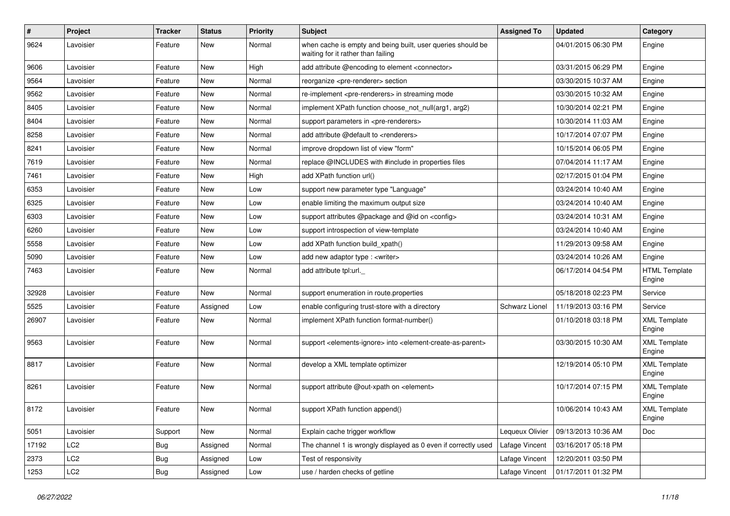| $\sharp$ | Project         | <b>Tracker</b> | <b>Status</b> | <b>Priority</b> | <b>Subject</b>                                                                                         | <b>Assigned To</b>    | <b>Updated</b>      | Category                       |
|----------|-----------------|----------------|---------------|-----------------|--------------------------------------------------------------------------------------------------------|-----------------------|---------------------|--------------------------------|
| 9624     | Lavoisier       | Feature        | New           | Normal          | when cache is empty and being built, user queries should be<br>waiting for it rather than failing      |                       | 04/01/2015 06:30 PM | Engine                         |
| 9606     | Lavoisier       | Feature        | <b>New</b>    | High            | add attribute @encoding to element <connector></connector>                                             |                       | 03/31/2015 06:29 PM | Engine                         |
| 9564     | Lavoisier       | Feature        | <b>New</b>    | Normal          | reorganize <pre-renderer> section</pre-renderer>                                                       |                       | 03/30/2015 10:37 AM | Engine                         |
| 9562     | Lavoisier       | Feature        | New           | Normal          | re-implement <pre-renderers> in streaming mode</pre-renderers>                                         |                       | 03/30/2015 10:32 AM | Engine                         |
| 8405     | Lavoisier       | Feature        | <b>New</b>    | Normal          | implement XPath function choose not null(arg1, arg2)                                                   |                       | 10/30/2014 02:21 PM | Engine                         |
| 8404     | Lavoisier       | Feature        | <b>New</b>    | Normal          | support parameters in <pre-renderers></pre-renderers>                                                  |                       | 10/30/2014 11:03 AM | Engine                         |
| 8258     | Lavoisier       | Feature        | New           | Normal          | add attribute @default to <renderers></renderers>                                                      |                       | 10/17/2014 07:07 PM | Engine                         |
| 8241     | Lavoisier       | Feature        | New           | Normal          | improve dropdown list of view "form"                                                                   |                       | 10/15/2014 06:05 PM | Engine                         |
| 7619     | Lavoisier       | Feature        | <b>New</b>    | Normal          | replace @INCLUDES with #include in properties files                                                    |                       | 07/04/2014 11:17 AM | Engine                         |
| 7461     | Lavoisier       | Feature        | <b>New</b>    | High            | add XPath function url()                                                                               |                       | 02/17/2015 01:04 PM | Engine                         |
| 6353     | Lavoisier       | Feature        | <b>New</b>    | Low             | support new parameter type "Language"                                                                  |                       | 03/24/2014 10:40 AM | Engine                         |
| 6325     | Lavoisier       | Feature        | New           | Low             | enable limiting the maximum output size                                                                |                       | 03/24/2014 10:40 AM | Engine                         |
| 6303     | Lavoisier       | Feature        | New           | Low             | support attributes @package and @id on <config></config>                                               |                       | 03/24/2014 10:31 AM | Engine                         |
| 6260     | Lavoisier       | Feature        | New           | Low             | support introspection of view-template                                                                 |                       | 03/24/2014 10:40 AM | Engine                         |
| 5558     | Lavoisier       | Feature        | New           | Low             | add XPath function build xpath()                                                                       |                       | 11/29/2013 09:58 AM | Engine                         |
| 5090     | Lavoisier       | Feature        | New           | Low             | add new adaptor type : <writer></writer>                                                               |                       | 03/24/2014 10:26 AM | Engine                         |
| 7463     | Lavoisier       | Feature        | New           | Normal          | add attribute tpl:url.                                                                                 |                       | 06/17/2014 04:54 PM | <b>HTML Template</b><br>Engine |
| 32928    | Lavoisier       | Feature        | <b>New</b>    | Normal          | support enumeration in route properties                                                                |                       | 05/18/2018 02:23 PM | Service                        |
| 5525     | Lavoisier       | Feature        | Assigned      | Low             | enable configuring trust-store with a directory                                                        | <b>Schwarz Lionel</b> | 11/19/2013 03:16 PM | Service                        |
| 26907    | Lavoisier       | Feature        | New           | Normal          | implement XPath function format-number()                                                               |                       | 01/10/2018 03:18 PM | <b>XML Template</b><br>Engine  |
| 9563     | Lavoisier       | Feature        | <b>New</b>    | Normal          | support <elements-ignore> into <element-create-as-parent></element-create-as-parent></elements-ignore> |                       | 03/30/2015 10:30 AM | <b>XML Template</b><br>Engine  |
| 8817     | Lavoisier       | Feature        | New           | Normal          | develop a XML template optimizer                                                                       |                       | 12/19/2014 05:10 PM | <b>XML Template</b><br>Engine  |
| 8261     | Lavoisier       | Feature        | <b>New</b>    | Normal          | support attribute @out-xpath on <element></element>                                                    |                       | 10/17/2014 07:15 PM | <b>XML Template</b><br>Engine  |
| 8172     | Lavoisier       | Feature        | <b>New</b>    | Normal          | support XPath function append()                                                                        |                       | 10/06/2014 10:43 AM | <b>XML Template</b><br>Engine  |
| 5051     | Lavoisier       | Support        | New           | Normal          | Explain cache trigger workflow                                                                         | Lequeux Olivier       | 09/13/2013 10:36 AM | Doc                            |
| 17192    | LC <sub>2</sub> | Bug            | Assigned      | Normal          | The channel 1 is wrongly displayed as 0 even if correctly used                                         | Lafage Vincent        | 03/16/2017 05:18 PM |                                |
| 2373     | LC <sub>2</sub> | Bug            | Assigned      | Low             | Test of responsivity                                                                                   | Lafage Vincent        | 12/20/2011 03:50 PM |                                |
| 1253     | LC <sub>2</sub> | Bug            | Assigned      | Low             | use / harden checks of getline                                                                         | Lafage Vincent        | 01/17/2011 01:32 PM |                                |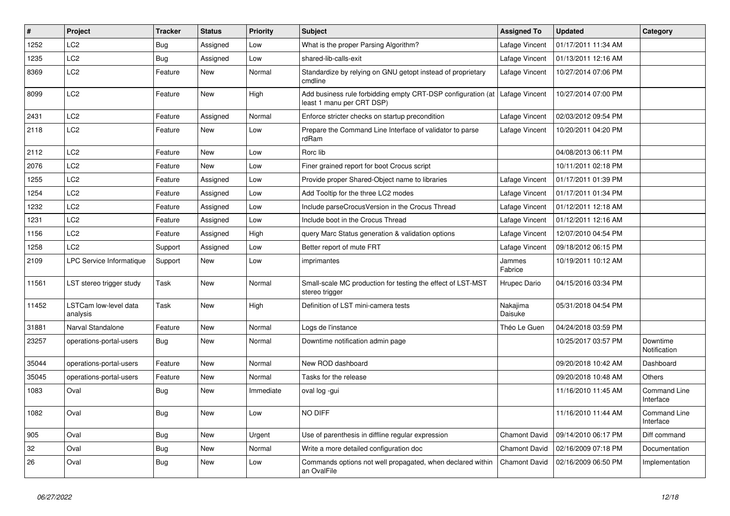| $\vert$ # | Project                           | <b>Tracker</b> | <b>Status</b> | <b>Priority</b> | <b>Subject</b>                                                                                             | <b>Assigned To</b>   | <b>Updated</b>      | Category                  |
|-----------|-----------------------------------|----------------|---------------|-----------------|------------------------------------------------------------------------------------------------------------|----------------------|---------------------|---------------------------|
| 1252      | LC <sub>2</sub>                   | <b>Bug</b>     | Assigned      | Low             | What is the proper Parsing Algorithm?                                                                      | Lafage Vincent       | 01/17/2011 11:34 AM |                           |
| 1235      | LC <sub>2</sub>                   | <b>Bug</b>     | Assigned      | Low             | shared-lib-calls-exit                                                                                      | Lafage Vincent       | 01/13/2011 12:16 AM |                           |
| 8369      | LC <sub>2</sub>                   | Feature        | New           | Normal          | Standardize by relying on GNU getopt instead of proprietary<br>cmdline                                     | Lafage Vincent       | 10/27/2014 07:06 PM |                           |
| 8099      | LC <sub>2</sub>                   | Feature        | <b>New</b>    | High            | Add business rule forbidding empty CRT-DSP configuration (at   Lafage Vincent<br>least 1 manu per CRT DSP) |                      | 10/27/2014 07:00 PM |                           |
| 2431      | LC2                               | Feature        | Assigned      | Normal          | Enforce stricter checks on startup precondition                                                            | Lafage Vincent       | 02/03/2012 09:54 PM |                           |
| 2118      | LC2                               | Feature        | New           | Low             | Prepare the Command Line Interface of validator to parse<br>rdRam                                          | Lafage Vincent       | 10/20/2011 04:20 PM |                           |
| 2112      | LC2                               | Feature        | <b>New</b>    | Low             | Rorc lib                                                                                                   |                      | 04/08/2013 06:11 PM |                           |
| 2076      | LC <sub>2</sub>                   | Feature        | <b>New</b>    | Low             | Finer grained report for boot Crocus script                                                                |                      | 10/11/2011 02:18 PM |                           |
| 1255      | LC <sub>2</sub>                   | Feature        | Assigned      | Low             | Provide proper Shared-Object name to libraries                                                             | Lafage Vincent       | 01/17/2011 01:39 PM |                           |
| 1254      | LC <sub>2</sub>                   | Feature        | Assigned      | Low             | Add Tooltip for the three LC2 modes                                                                        | Lafage Vincent       | 01/17/2011 01:34 PM |                           |
| 1232      | LC2                               | Feature        | Assigned      | Low             | Include parseCrocusVersion in the Crocus Thread                                                            | Lafage Vincent       | 01/12/2011 12:18 AM |                           |
| 1231      | LC2                               | Feature        | Assigned      | Low             | Include boot in the Crocus Thread                                                                          | Lafage Vincent       | 01/12/2011 12:16 AM |                           |
| 1156      | LC <sub>2</sub>                   | Feature        | Assigned      | High            | query Marc Status generation & validation options                                                          | Lafage Vincent       | 12/07/2010 04:54 PM |                           |
| 1258      | LC <sub>2</sub>                   | Support        | Assigned      | Low             | Better report of mute FRT                                                                                  | Lafage Vincent       | 09/18/2012 06:15 PM |                           |
| 2109      | <b>LPC Service Informatique</b>   | Support        | New           | Low             | imprimantes                                                                                                | Jammes<br>Fabrice    | 10/19/2011 10:12 AM |                           |
| 11561     | LST stereo trigger study          | Task           | <b>New</b>    | Normal          | Small-scale MC production for testing the effect of LST-MST<br>stereo trigger                              | Hrupec Dario         | 04/15/2016 03:34 PM |                           |
| 11452     | LSTCam low-level data<br>analysis | Task           | <b>New</b>    | High            | Definition of LST mini-camera tests                                                                        | Nakajima<br>Daisuke  | 05/31/2018 04:54 PM |                           |
| 31881     | Narval Standalone                 | Feature        | <b>New</b>    | Normal          | Logs de l'instance                                                                                         | Théo Le Guen         | 04/24/2018 03:59 PM |                           |
| 23257     | operations-portal-users           | <b>Bug</b>     | New           | Normal          | Downtime notification admin page                                                                           |                      | 10/25/2017 03:57 PM | Downtime<br>Notification  |
| 35044     | operations-portal-users           | Feature        | New           | Normal          | New ROD dashboard                                                                                          |                      | 09/20/2018 10:42 AM | Dashboard                 |
| 35045     | operations-portal-users           | Feature        | New           | Normal          | Tasks for the release                                                                                      |                      | 09/20/2018 10:48 AM | Others                    |
| 1083      | Oval                              | Bug            | <b>New</b>    | Immediate       | oval log -gui                                                                                              |                      | 11/16/2010 11:45 AM | Command Line<br>Interface |
| 1082      | Oval                              | Bug            | <b>New</b>    | Low             | NO DIFF                                                                                                    |                      | 11/16/2010 11:44 AM | Command Line<br>Interface |
| 905       | Oval                              | Bug            | <b>New</b>    | Urgent          | Use of parenthesis in diffline regular expression                                                          | <b>Chamont David</b> | 09/14/2010 06:17 PM | Diff command              |
| 32        | Oval                              | Bug            | <b>New</b>    | Normal          | Write a more detailed configuration doc                                                                    | Chamont David        | 02/16/2009 07:18 PM | Documentation             |
| 26        | Oval                              | <b>Bug</b>     | <b>New</b>    | Low             | Commands options not well propagated, when declared within<br>an OvalFile                                  | <b>Chamont David</b> | 02/16/2009 06:50 PM | Implementation            |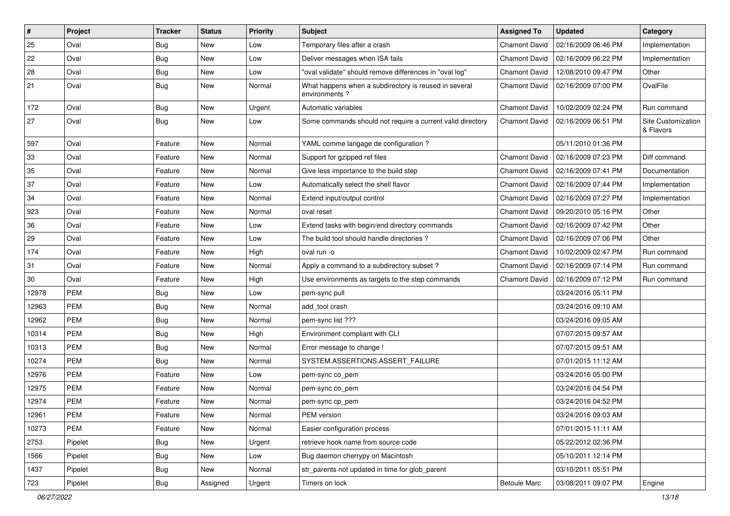| #      | Project    | <b>Tracker</b> | <b>Status</b> | <b>Priority</b> | <b>Subject</b>                                                         | <b>Assigned To</b>   | <b>Updated</b>      | Category                        |
|--------|------------|----------------|---------------|-----------------|------------------------------------------------------------------------|----------------------|---------------------|---------------------------------|
| 25     | Oval       | <b>Bug</b>     | <b>New</b>    | Low             | Temporary files after a crash                                          | <b>Chamont David</b> | 02/16/2009 06:46 PM | Implementation                  |
| 22     | Oval       | <b>Bug</b>     | New           | Low             | Deliver messages when ISA fails                                        | Chamont David        | 02/16/2009 06:22 PM | Implementation                  |
| 28     | Oval       | <b>Bug</b>     | <b>New</b>    | Low             | "oval validate" should remove differences in "oval log"                | <b>Chamont David</b> | 12/08/2010 09:47 PM | Other                           |
| 21     | Oval       | Bug            | New           | Normal          | What happens when a subdirectory is reused in several<br>environments? | <b>Chamont David</b> | 02/16/2009 07:00 PM | OvalFile                        |
| 172    | Oval       | <b>Bug</b>     | <b>New</b>    | Urgent          | Automatic variables                                                    | <b>Chamont David</b> | 10/02/2009 02:24 PM | Run command                     |
| 27     | Oval       | Bug            | <b>New</b>    | Low             | Some commands should not require a current valid directory             | Chamont David        | 02/16/2009 06:51 PM | Site Customization<br>& Flavors |
| 597    | Oval       | Feature        | <b>New</b>    | Normal          | YAML comme langage de configuration ?                                  |                      | 05/11/2010 01:36 PM |                                 |
| 33     | Oval       | Feature        | <b>New</b>    | Normal          | Support for gzipped ref files                                          | <b>Chamont David</b> | 02/16/2009 07:23 PM | Diff command                    |
| 35     | Oval       | Feature        | <b>New</b>    | Normal          | Give less importance to the build step                                 | <b>Chamont David</b> | 02/16/2009 07:41 PM | Documentation                   |
| 37     | Oval       | Feature        | <b>New</b>    | Low             | Automatically select the shell flavor                                  | Chamont David        | 02/16/2009 07:44 PM | Implementation                  |
| 34     | Oval       | Feature        | <b>New</b>    | Normal          | Extend input/output control                                            | Chamont David        | 02/16/2009 07:27 PM | Implementation                  |
| 923    | Oval       | Feature        | <b>New</b>    | Normal          | oval reset                                                             | <b>Chamont David</b> | 09/20/2010 05:16 PM | Other                           |
| 36     | Oval       | Feature        | <b>New</b>    | Low             | Extend tasks with begin/end directory commands                         | <b>Chamont David</b> | 02/16/2009 07:42 PM | Other                           |
| 29     | Oval       | Feature        | <b>New</b>    | Low             | The build tool should handle directories?                              | Chamont David        | 02/16/2009 07:06 PM | Other                           |
| 174    | Oval       | Feature        | <b>New</b>    | High            | oval run -o                                                            | Chamont David        | 10/02/2009 02:47 PM | Run command                     |
| 31     | Oval       | Feature        | <b>New</b>    | Normal          | Apply a command to a subdirectory subset?                              | Chamont David        | 02/16/2009 07:14 PM | Run command                     |
| $30\,$ | Oval       | Feature        | <b>New</b>    | High            | Use environments as targets to the step commands                       | Chamont David        | 02/16/2009 07:12 PM | Run command                     |
| 12978  | <b>PEM</b> | <b>Bug</b>     | <b>New</b>    | Low             | pem-sync pull                                                          |                      | 03/24/2016 05:11 PM |                                 |
| 12963  | <b>PEM</b> | <b>Bug</b>     | <b>New</b>    | Normal          | add tool crash                                                         |                      | 03/24/2016 09:10 AM |                                 |
| 12962  | <b>PEM</b> | <b>Bug</b>     | <b>New</b>    | Normal          | pem-sync list ???                                                      |                      | 03/24/2016 09:05 AM |                                 |
| 10314  | <b>PEM</b> | <b>Bug</b>     | <b>New</b>    | High            | Environment compliant with CLI                                         |                      | 07/07/2015 09:57 AM |                                 |
| 10313  | <b>PEM</b> | <b>Bug</b>     | <b>New</b>    | Normal          | Error message to change !                                              |                      | 07/07/2015 09:51 AM |                                 |
| 10274  | <b>PEM</b> | Bug            | New           | Normal          | SYSTEM.ASSERTIONS.ASSERT_FAILURE                                       |                      | 07/01/2015 11:12 AM |                                 |
| 12976  | <b>PEM</b> | Feature        | <b>New</b>    | Low             | pem-sync co_pem                                                        |                      | 03/24/2016 05:00 PM |                                 |
| 12975  | <b>PEM</b> | Feature        | <b>New</b>    | Normal          | pem-sync co_pem                                                        |                      | 03/24/2016 04:54 PM |                                 |
| 12974  | <b>PEM</b> | Feature        | <b>New</b>    | Normal          | pem-sync cp_pem                                                        |                      | 03/24/2016 04:52 PM |                                 |
| 12961  | PEM        | Feature        | New           | Normal          | PEM version                                                            |                      | 03/24/2016 09:03 AM |                                 |
| 10273  | PEM        | Feature        | New           | Normal          | Easier configuration process                                           |                      | 07/01/2015 11:11 AM |                                 |
| 2753   | Pipelet    | Bug            | New           | Urgent          | retrieve hook name from source code                                    |                      | 05/22/2012 02:36 PM |                                 |
| 1566   | Pipelet    | Bug            | New           | Low             | Bug daemon cherrypy on Macintosh                                       |                      | 05/10/2011 12:14 PM |                                 |
| 1437   | Pipelet    | <b>Bug</b>     | New           | Normal          | str_parents not updated in time for glob_parent                        |                      | 03/10/2011 05:51 PM |                                 |
| 723    | Pipelet    | <b>Bug</b>     | Assigned      | Urgent          | Timers on lock                                                         | <b>Betoule Marc</b>  | 03/08/2011 09:07 PM | Engine                          |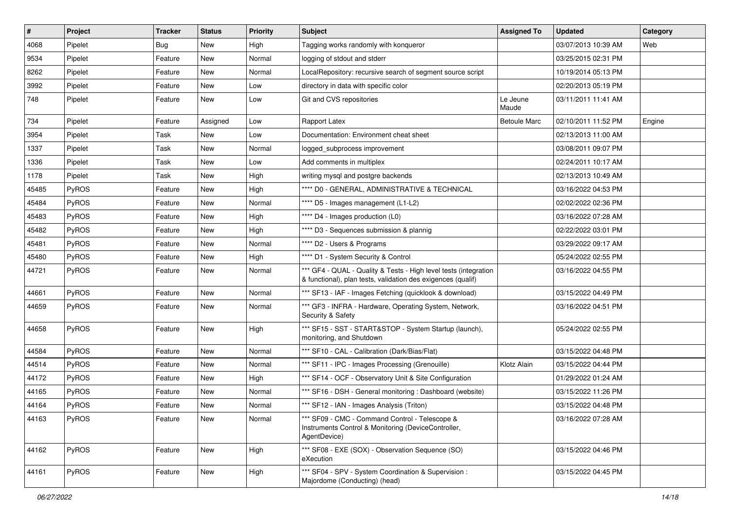| $\vert$ # | Project      | Tracker    | <b>Status</b> | <b>Priority</b> | <b>Subject</b>                                                                                                                   | <b>Assigned To</b>  | <b>Updated</b>      | Category |
|-----------|--------------|------------|---------------|-----------------|----------------------------------------------------------------------------------------------------------------------------------|---------------------|---------------------|----------|
| 4068      | Pipelet      | <b>Bug</b> | New           | High            | Tagging works randomly with konqueror                                                                                            |                     | 03/07/2013 10:39 AM | Web      |
| 9534      | Pipelet      | Feature    | New           | Normal          | logging of stdout and stderr                                                                                                     |                     | 03/25/2015 02:31 PM |          |
| 8262      | Pipelet      | Feature    | New           | Normal          | LocalRepository: recursive search of segment source script                                                                       |                     | 10/19/2014 05:13 PM |          |
| 3992      | Pipelet      | Feature    | New           | Low             | directory in data with specific color                                                                                            |                     | 02/20/2013 05:19 PM |          |
| 748       | Pipelet      | Feature    | New           | Low             | Git and CVS repositories                                                                                                         | Le Jeune<br>Maude   | 03/11/2011 11:41 AM |          |
| 734       | Pipelet      | Feature    | Assigned      | Low             | Rapport Latex                                                                                                                    | <b>Betoule Marc</b> | 02/10/2011 11:52 PM | Engine   |
| 3954      | Pipelet      | Task       | New           | Low             | Documentation: Environment cheat sheet                                                                                           |                     | 02/13/2013 11:00 AM |          |
| 1337      | Pipelet      | Task       | New           | Normal          | logged_subprocess improvement                                                                                                    |                     | 03/08/2011 09:07 PM |          |
| 1336      | Pipelet      | Task       | <b>New</b>    | Low             | Add comments in multiplex                                                                                                        |                     | 02/24/2011 10:17 AM |          |
| 1178      | Pipelet      | Task       | New           | High            | writing mysql and postgre backends                                                                                               |                     | 02/13/2013 10:49 AM |          |
| 45485     | PyROS        | Feature    | New           | High            | **** D0 - GENERAL, ADMINISTRATIVE & TECHNICAL                                                                                    |                     | 03/16/2022 04:53 PM |          |
| 45484     | <b>PyROS</b> | Feature    | New           | Normal          | **** D5 - Images management (L1-L2)                                                                                              |                     | 02/02/2022 02:36 PM |          |
| 45483     | PyROS        | Feature    | New           | High            | **** D4 - Images production (L0)                                                                                                 |                     | 03/16/2022 07:28 AM |          |
| 45482     | PyROS        | Feature    | New           | High            | **** D3 - Sequences submission & plannig                                                                                         |                     | 02/22/2022 03:01 PM |          |
| 45481     | <b>PyROS</b> | Feature    | New           | Normal          | **** D2 - Users & Programs                                                                                                       |                     | 03/29/2022 09:17 AM |          |
| 45480     | PyROS        | Feature    | <b>New</b>    | High            | **** D1 - System Security & Control                                                                                              |                     | 05/24/2022 02:55 PM |          |
| 44721     | <b>PyROS</b> | Feature    | New           | Normal          | *** GF4 - QUAL - Quality & Tests - High level tests (integration<br>& functional), plan tests, validation des exigences (qualif) |                     | 03/16/2022 04:55 PM |          |
| 44661     | PyROS        | Feature    | <b>New</b>    | Normal          | *** SF13 - IAF - Images Fetching (quicklook & download)                                                                          |                     | 03/15/2022 04:49 PM |          |
| 44659     | <b>PyROS</b> | Feature    | New           | Normal          | *** GF3 - INFRA - Hardware, Operating System, Network,<br>Security & Safety                                                      |                     | 03/16/2022 04:51 PM |          |
| 44658     | PyROS        | Feature    | New           | High            | *** SF15 - SST - START&STOP - System Startup (launch),<br>monitoring, and Shutdown                                               |                     | 05/24/2022 02:55 PM |          |
| 44584     | PyROS        | Feature    | <b>New</b>    | Normal          | *** SF10 - CAL - Calibration (Dark/Bias/Flat)                                                                                    |                     | 03/15/2022 04:48 PM |          |
| 44514     | PyROS        | Feature    | New           | Normal          | *** SF11 - IPC - Images Processing (Grenouille)                                                                                  | Klotz Alain         | 03/15/2022 04:44 PM |          |
| 44172     | PyROS        | Feature    | New           | High            | *** SF14 - OCF - Observatory Unit & Site Configuration                                                                           |                     | 01/29/2022 01:24 AM |          |
| 44165     | PyROS        | Feature    | New           | Normal          | *** SF16 - DSH - General monitoring: Dashboard (website)                                                                         |                     | 03/15/2022 11:26 PM |          |
| 44164     | PyROS        | Feature    | New           | Normal          | *** SF12 - IAN - Images Analysis (Triton)                                                                                        |                     | 03/15/2022 04:48 PM |          |
| 44163     | PyROS        | Feature    | New           | Normal          | *** SF09 - CMC - Command Control - Telescope &<br>Instruments Control & Monitoring (DeviceController,<br>AgentDevice)            |                     | 03/16/2022 07:28 AM |          |
| 44162     | PyROS        | Feature    | New           | High            | *** SF08 - EXE (SOX) - Observation Sequence (SO)<br>eXecution                                                                    |                     | 03/15/2022 04:46 PM |          |
| 44161     | PyROS        | Feature    | New           | High            | *** SF04 - SPV - System Coordination & Supervision :<br>Majordome (Conducting) (head)                                            |                     | 03/15/2022 04:45 PM |          |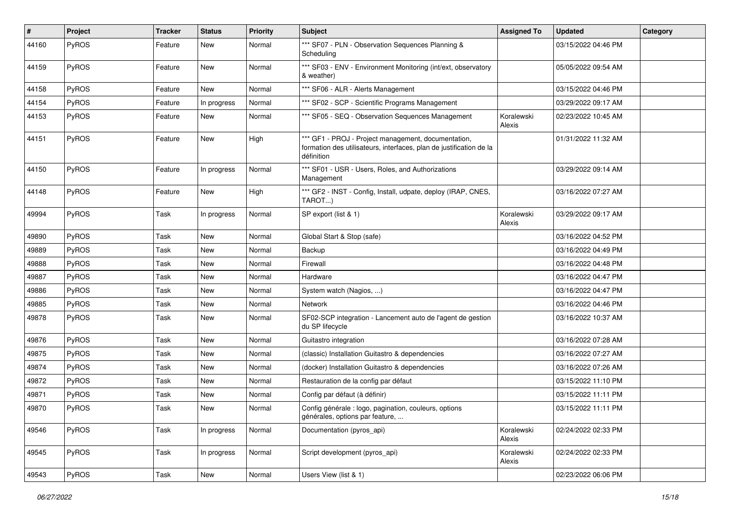| $\sharp$ | Project      | <b>Tracker</b> | <b>Status</b> | <b>Priority</b> | <b>Subject</b>                                                                                                                           | <b>Assigned To</b>   | <b>Updated</b>      | Category |
|----------|--------------|----------------|---------------|-----------------|------------------------------------------------------------------------------------------------------------------------------------------|----------------------|---------------------|----------|
| 44160    | PyROS        | Feature        | New           | Normal          | *** SF07 - PLN - Observation Sequences Planning &<br>Scheduling                                                                          |                      | 03/15/2022 04:46 PM |          |
| 44159    | PyROS        | Feature        | <b>New</b>    | Normal          | *** SF03 - ENV - Environment Monitoring (int/ext, observatory<br>& weather)                                                              |                      | 05/05/2022 09:54 AM |          |
| 44158    | PyROS        | Feature        | <b>New</b>    | Normal          | *** SF06 - ALR - Alerts Management                                                                                                       |                      | 03/15/2022 04:46 PM |          |
| 44154    | PyROS        | Feature        | In progress   | Normal          | *** SF02 - SCP - Scientific Programs Management                                                                                          |                      | 03/29/2022 09:17 AM |          |
| 44153    | PyROS        | Feature        | New           | Normal          | *** SF05 - SEQ - Observation Sequences Management                                                                                        | Koralewski<br>Alexis | 02/23/2022 10:45 AM |          |
| 44151    | PyROS        | Feature        | New           | High            | *** GF1 - PROJ - Project management, documentation,<br>formation des utilisateurs, interfaces, plan de justification de la<br>définition |                      | 01/31/2022 11:32 AM |          |
| 44150    | PyROS        | Feature        | In progress   | Normal          | *** SF01 - USR - Users, Roles, and Authorizations<br>Management                                                                          |                      | 03/29/2022 09:14 AM |          |
| 44148    | PyROS        | Feature        | <b>New</b>    | High            | *** GF2 - INST - Config, Install, udpate, deploy (IRAP, CNES,<br>TAROT)                                                                  |                      | 03/16/2022 07:27 AM |          |
| 49994    | PyROS        | Task           | In progress   | Normal          | SP export (list & 1)                                                                                                                     | Koralewski<br>Alexis | 03/29/2022 09:17 AM |          |
| 49890    | PyROS        | Task           | <b>New</b>    | Normal          | Global Start & Stop (safe)                                                                                                               |                      | 03/16/2022 04:52 PM |          |
| 49889    | PyROS        | Task           | New           | Normal          | Backup                                                                                                                                   |                      | 03/16/2022 04:49 PM |          |
| 49888    | PyROS        | Task           | New           | Normal          | Firewall                                                                                                                                 |                      | 03/16/2022 04:48 PM |          |
| 49887    | PyROS        | Task           | <b>New</b>    | Normal          | Hardware                                                                                                                                 |                      | 03/16/2022 04:47 PM |          |
| 49886    | <b>PyROS</b> | Task           | New           | Normal          | System watch (Nagios, )                                                                                                                  |                      | 03/16/2022 04:47 PM |          |
| 49885    | PyROS        | Task           | New           | Normal          | Network                                                                                                                                  |                      | 03/16/2022 04:46 PM |          |
| 49878    | PyROS        | Task           | New           | Normal          | SF02-SCP integration - Lancement auto de l'agent de gestion<br>du SP lifecycle                                                           |                      | 03/16/2022 10:37 AM |          |
| 49876    | PyROS        | Task           | <b>New</b>    | Normal          | Guitastro integration                                                                                                                    |                      | 03/16/2022 07:28 AM |          |
| 49875    | PyROS        | Task           | New           | Normal          | (classic) Installation Guitastro & dependencies                                                                                          |                      | 03/16/2022 07:27 AM |          |
| 49874    | PyROS        | Task           | New           | Normal          | (docker) Installation Guitastro & dependencies                                                                                           |                      | 03/16/2022 07:26 AM |          |
| 49872    | PyROS        | Task           | New           | Normal          | Restauration de la config par défaut                                                                                                     |                      | 03/15/2022 11:10 PM |          |
| 49871    | <b>PyROS</b> | Task           | New           | Normal          | Config par défaut (à définir)                                                                                                            |                      | 03/15/2022 11:11 PM |          |
| 49870    | PyROS        | Task           | New           | Normal          | Config générale : logo, pagination, couleurs, options<br>générales, options par feature,                                                 |                      | 03/15/2022 11:11 PM |          |
| 49546    | PyROS        | Task           | In progress   | Normal          | Documentation (pyros_api)                                                                                                                | Koralewski<br>Alexis | 02/24/2022 02:33 PM |          |
| 49545    | PyROS        | Task           | In progress   | Normal          | Script development (pyros_api)                                                                                                           | Koralewski<br>Alexis | 02/24/2022 02:33 PM |          |
| 49543    | PyROS        | Task           | New           | Normal          | Users View (list & 1)                                                                                                                    |                      | 02/23/2022 06:06 PM |          |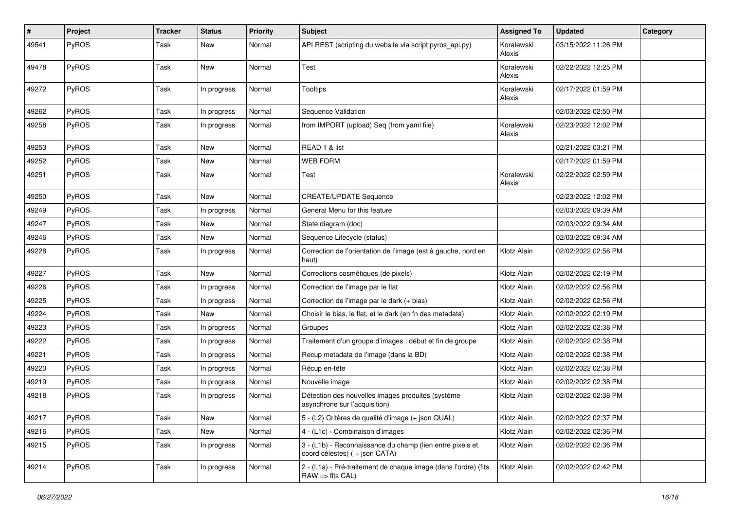| #     | Project      | <b>Tracker</b> | <b>Status</b> | <b>Priority</b> | <b>Subject</b>                                                                              | <b>Assigned To</b>   | <b>Updated</b>      | Category |
|-------|--------------|----------------|---------------|-----------------|---------------------------------------------------------------------------------------------|----------------------|---------------------|----------|
| 49541 | PyROS        | Task           | <b>New</b>    | Normal          | API REST (scripting du website via script pyros_api.py)                                     | Koralewski<br>Alexis | 03/15/2022 11:26 PM |          |
| 49478 | PyROS        | Task           | <b>New</b>    | Normal          | Test                                                                                        | Koralewski<br>Alexis | 02/22/2022 12:25 PM |          |
| 49272 | PyROS        | Task           | In progress   | Normal          | <b>Tooltips</b>                                                                             | Koralewski<br>Alexis | 02/17/2022 01:59 PM |          |
| 49262 | PyROS        | Task           | In progress   | Normal          | Sequence Validation                                                                         |                      | 02/03/2022 02:50 PM |          |
| 49258 | PyROS        | Task           | In progress   | Normal          | from IMPORT (upload) Seq (from yaml file)                                                   | Koralewski<br>Alexis | 02/23/2022 12:02 PM |          |
| 49253 | PyROS        | Task           | <b>New</b>    | Normal          | READ 1 & list                                                                               |                      | 02/21/2022 03:21 PM |          |
| 49252 | PyROS        | Task           | <b>New</b>    | Normal          | <b>WEB FORM</b>                                                                             |                      | 02/17/2022 01:59 PM |          |
| 49251 | PyROS        | Task           | <b>New</b>    | Normal          | Test                                                                                        | Koralewski<br>Alexis | 02/22/2022 02:59 PM |          |
| 49250 | PyROS        | Task           | <b>New</b>    | Normal          | <b>CREATE/UPDATE Sequence</b>                                                               |                      | 02/23/2022 12:02 PM |          |
| 49249 | PyROS        | Task           | In progress   | Normal          | General Menu for this feature                                                               |                      | 02/03/2022 09:39 AM |          |
| 49247 | PyROS        | Task           | New           | Normal          | State diagram (doc)                                                                         |                      | 02/03/2022 09:34 AM |          |
| 49246 | PyROS        | Task           | <b>New</b>    | Normal          | Sequence Lifecycle (status)                                                                 |                      | 02/03/2022 09:34 AM |          |
| 49228 | PyROS        | Task           | In progress   | Normal          | Correction de l'orientation de l'image (est à gauche, nord en<br>haut)                      | Klotz Alain          | 02/02/2022 02:56 PM |          |
| 49227 | PyROS        | Task           | <b>New</b>    | Normal          | Corrections cosmétiques (de pixels)                                                         | Klotz Alain          | 02/02/2022 02:19 PM |          |
| 49226 | PyROS        | Task           | In progress   | Normal          | Correction de l'image par le flat                                                           | Klotz Alain          | 02/02/2022 02:56 PM |          |
| 49225 | PyROS        | Task           | In progress   | Normal          | Correction de l'image par le dark (+ bias)                                                  | Klotz Alain          | 02/02/2022 02:56 PM |          |
| 49224 | PyROS        | Task           | <b>New</b>    | Normal          | Choisir le bias, le flat, et le dark (en fn des metadata)                                   | Klotz Alain          | 02/02/2022 02:19 PM |          |
| 49223 | <b>PyROS</b> | Task           | In progress   | Normal          | Groupes                                                                                     | Klotz Alain          | 02/02/2022 02:38 PM |          |
| 49222 | PyROS        | Task           | In progress   | Normal          | Traitement d'un groupe d'images : début et fin de groupe                                    | Klotz Alain          | 02/02/2022 02:38 PM |          |
| 49221 | PyROS        | Task           | In progress   | Normal          | Recup metadata de l'image (dans la BD)                                                      | Klotz Alain          | 02/02/2022 02:38 PM |          |
| 49220 | PyROS        | Task           | In progress   | Normal          | Récup en-tête                                                                               | Klotz Alain          | 02/02/2022 02:38 PM |          |
| 49219 | PyROS        | Task           | In progress   | Normal          | Nouvelle image                                                                              | Klotz Alain          | 02/02/2022 02:38 PM |          |
| 49218 | PyROS        | Task           | In progress   | Normal          | Détection des nouvelles images produites (système<br>asynchrone sur l'acquisition)          | Klotz Alain          | 02/02/2022 02:38 PM |          |
| 49217 | PyROS        | Task           | New           | Normal          | 5 - (L2) Critères de qualité d'image (+ json QUAL)                                          | Klotz Alain          | 02/02/2022 02:37 PM |          |
| 49216 | PyROS        | Task           | New           | Normal          | 4 - (L1c) - Combinaison d'images                                                            | Klotz Alain          | 02/02/2022 02:36 PM |          |
| 49215 | PyROS        | Task           | In progress   | Normal          | 3 - (L1b) - Reconnaissance du champ (lien entre pixels et<br>coord célestes) ( + json CATA) | Klotz Alain          | 02/02/2022 02:36 PM |          |
| 49214 | PyROS        | Task           | In progress   | Normal          | 2 - (L1a) - Pré-traitement de chaque image (dans l'ordre) (fits<br>$RAW =$ fits $CAL$ )     | Klotz Alain          | 02/02/2022 02:42 PM |          |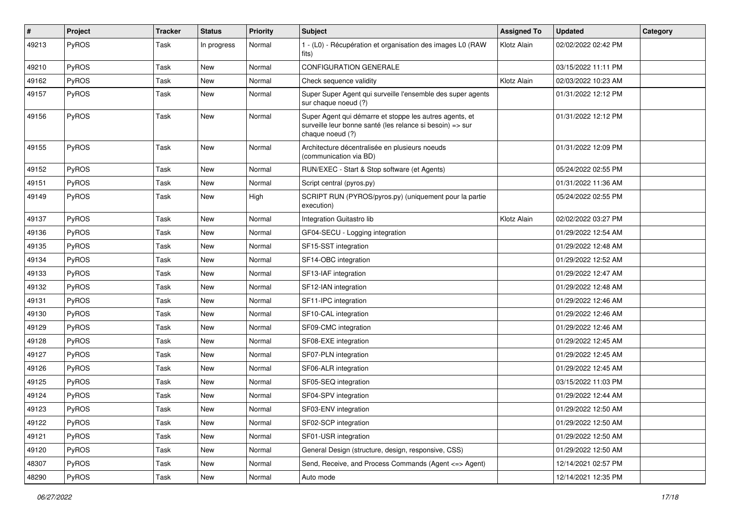| #     | Project      | <b>Tracker</b> | <b>Status</b> | <b>Priority</b> | Subject                                                                                                                                  | <b>Assigned To</b> | <b>Updated</b>      | Category |
|-------|--------------|----------------|---------------|-----------------|------------------------------------------------------------------------------------------------------------------------------------------|--------------------|---------------------|----------|
| 49213 | PyROS        | Task           | In progress   | Normal          | 1 - (L0) - Récupération et organisation des images L0 (RAW<br>fits)                                                                      | Klotz Alain        | 02/02/2022 02:42 PM |          |
| 49210 | <b>PyROS</b> | Task           | <b>New</b>    | Normal          | <b>CONFIGURATION GENERALE</b>                                                                                                            |                    | 03/15/2022 11:11 PM |          |
| 49162 | PyROS        | Task           | <b>New</b>    | Normal          | Check sequence validity                                                                                                                  | Klotz Alain        | 02/03/2022 10:23 AM |          |
| 49157 | PyROS        | Task           | New           | Normal          | Super Super Agent qui surveille l'ensemble des super agents<br>sur chaque noeud (?)                                                      |                    | 01/31/2022 12:12 PM |          |
| 49156 | PyROS        | Task           | New           | Normal          | Super Agent qui démarre et stoppe les autres agents, et<br>surveille leur bonne santé (les relance si besoin) => sur<br>chaque noeud (?) |                    | 01/31/2022 12:12 PM |          |
| 49155 | PyROS        | Task           | New           | Normal          | Architecture décentralisée en plusieurs noeuds<br>(communication via BD)                                                                 |                    | 01/31/2022 12:09 PM |          |
| 49152 | PyROS        | Task           | New           | Normal          | RUN/EXEC - Start & Stop software (et Agents)                                                                                             |                    | 05/24/2022 02:55 PM |          |
| 49151 | PyROS        | Task           | <b>New</b>    | Normal          | Script central (pyros.py)                                                                                                                |                    | 01/31/2022 11:36 AM |          |
| 49149 | <b>PyROS</b> | Task           | New           | High            | SCRIPT RUN (PYROS/pyros.py) (uniquement pour la partie<br>execution)                                                                     |                    | 05/24/2022 02:55 PM |          |
| 49137 | PyROS        | Task           | <b>New</b>    | Normal          | Integration Guitastro lib                                                                                                                | Klotz Alain        | 02/02/2022 03:27 PM |          |
| 49136 | PyROS        | Task           | New           | Normal          | GF04-SECU - Logging integration                                                                                                          |                    | 01/29/2022 12:54 AM |          |
| 49135 | PyROS        | Task           | New           | Normal          | SF15-SST integration                                                                                                                     |                    | 01/29/2022 12:48 AM |          |
| 49134 | <b>PyROS</b> | Task           | New           | Normal          | SF14-OBC integration                                                                                                                     |                    | 01/29/2022 12:52 AM |          |
| 49133 | PyROS        | Task           | <b>New</b>    | Normal          | SF13-IAF integration                                                                                                                     |                    | 01/29/2022 12:47 AM |          |
| 49132 | PyROS        | Task           | <b>New</b>    | Normal          | SF12-IAN integration                                                                                                                     |                    | 01/29/2022 12:48 AM |          |
| 49131 | PyROS        | Task           | <b>New</b>    | Normal          | SF11-IPC integration                                                                                                                     |                    | 01/29/2022 12:46 AM |          |
| 49130 | PyROS        | Task           | <b>New</b>    | Normal          | SF10-CAL integration                                                                                                                     |                    | 01/29/2022 12:46 AM |          |
| 49129 | <b>PyROS</b> | Task           | New           | Normal          | SF09-CMC integration                                                                                                                     |                    | 01/29/2022 12:46 AM |          |
| 49128 | PyROS        | Task           | New           | Normal          | SF08-EXE integration                                                                                                                     |                    | 01/29/2022 12:45 AM |          |
| 49127 | PyROS        | Task           | <b>New</b>    | Normal          | SF07-PLN integration                                                                                                                     |                    | 01/29/2022 12:45 AM |          |
| 49126 | PyROS        | Task           | New           | Normal          | SF06-ALR integration                                                                                                                     |                    | 01/29/2022 12:45 AM |          |
| 49125 | PyROS        | Task           | <b>New</b>    | Normal          | SF05-SEQ integration                                                                                                                     |                    | 03/15/2022 11:03 PM |          |
| 49124 | PyROS        | Task           | New           | Normal          | SF04-SPV integration                                                                                                                     |                    | 01/29/2022 12:44 AM |          |
| 49123 | PyROS        | Task           | New           | Normal          | SF03-ENV integration                                                                                                                     |                    | 01/29/2022 12:50 AM |          |
| 49122 | PyROS        | Task           | New           | Normal          | SF02-SCP integration                                                                                                                     |                    | 01/29/2022 12:50 AM |          |
| 49121 | <b>PyROS</b> | Task           | New           | Normal          | SF01-USR integration                                                                                                                     |                    | 01/29/2022 12:50 AM |          |
| 49120 | PyROS        | Task           | New           | Normal          | General Design (structure, design, responsive, CSS)                                                                                      |                    | 01/29/2022 12:50 AM |          |
| 48307 | PyROS        | Task           | New           | Normal          | Send, Receive, and Process Commands (Agent <=> Agent)                                                                                    |                    | 12/14/2021 02:57 PM |          |
| 48290 | PyROS        | Task           | New           | Normal          | Auto mode                                                                                                                                |                    | 12/14/2021 12:35 PM |          |